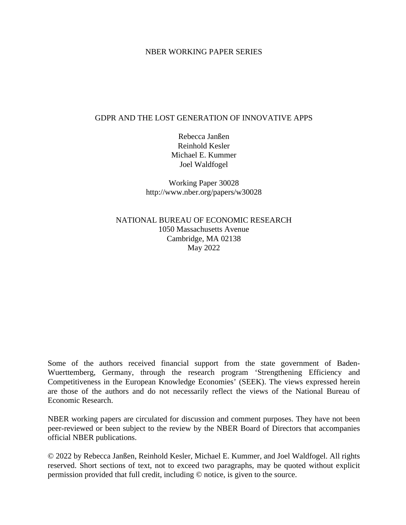#### NBER WORKING PAPER SERIES

### GDPR AND THE LOST GENERATION OF INNOVATIVE APPS

Rebecca Janßen Reinhold Kesler Michael E. Kummer Joel Waldfogel

Working Paper 30028 http://www.nber.org/papers/w30028

NATIONAL BUREAU OF ECONOMIC RESEARCH 1050 Massachusetts Avenue Cambridge, MA 02138 May 2022

Some of the authors received financial support from the state government of Baden-Wuerttemberg, Germany, through the research program 'Strengthening Efficiency and Competitiveness in the European Knowledge Economies' (SEEK). The views expressed herein are those of the authors and do not necessarily reflect the views of the National Bureau of Economic Research.

NBER working papers are circulated for discussion and comment purposes. They have not been peer-reviewed or been subject to the review by the NBER Board of Directors that accompanies official NBER publications.

© 2022 by Rebecca Janßen, Reinhold Kesler, Michael E. Kummer, and Joel Waldfogel. All rights reserved. Short sections of text, not to exceed two paragraphs, may be quoted without explicit permission provided that full credit, including © notice, is given to the source.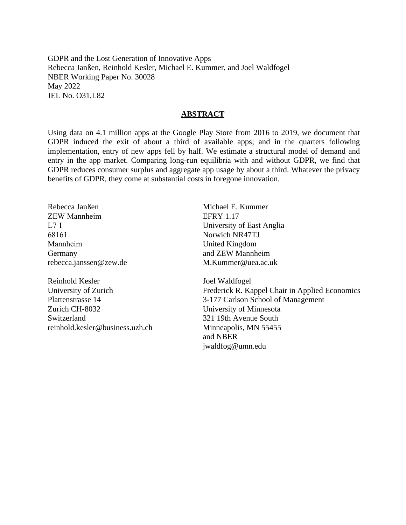GDPR and the Lost Generation of Innovative Apps Rebecca Janßen, Reinhold Kesler, Michael E. Kummer, and Joel Waldfogel NBER Working Paper No. 30028 May 2022 JEL No. O31,L82

#### **ABSTRACT**

Using data on 4.1 million apps at the Google Play Store from 2016 to 2019, we document that GDPR induced the exit of about a third of available apps; and in the quarters following implementation, entry of new apps fell by half. We estimate a structural model of demand and entry in the app market. Comparing long-run equilibria with and without GDPR, we find that GDPR reduces consumer surplus and aggregate app usage by about a third. Whatever the privacy benefits of GDPR, they come at substantial costs in foregone innovation.

Rebecca Janßen ZEW Mannheim L7 1 68161 Mannheim Germany rebecca.janssen@zew.de

Reinhold Kesler University of Zurich Plattenstrasse 14 Zurich CH-8032 Switzerland reinhold.kesler@business.uzh.ch

Michael E. Kummer EFRY 1.17 University of East Anglia Norwich NR47TJ United Kingdom and ZEW Mannheim M.Kummer@uea.ac.uk

Joel Waldfogel Frederick R. Kappel Chair in Applied Economics 3-177 Carlson School of Management University of Minnesota 321 19th Avenue South Minneapolis, MN 55455 and NBER jwaldfog@umn.edu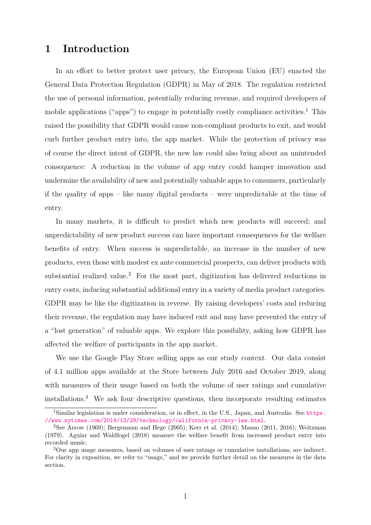# **1 Introduction**

In an effort to better protect user privacy, the European Union (EU) enacted the General Data Protection Regulation (GDPR) in May of 2018. The regulation restricted the use of personal information, potentially reducing revenue, and required developers of mobile applications ("apps") to engage in potentially costly compliance activities.<sup>[1](#page-2-0)</sup> This raised the possibility that GDPR would cause non-compliant products to exit, and would curb further product entry into, the app market. While the protection of privacy was of course the direct intent of GDPR, the new law could also bring about an unintended consequence: A reduction in the volume of app entry could hamper innovation and undermine the availability of new and potentially valuable apps to consumers, particularly if the quality of apps – like many digital products – were unpredictable at the time of entry.

In many markets, it is difficult to predict which new products will succeed; and unpredictability of new product success can have important consequences for the welfare benefits of entry. When success is unpredictable, an increase in the number of new products, even those with modest ex ante commercial prospects, can deliver products with substantial realized value.<sup>[2](#page-2-1)</sup> For the most part, digitization has delivered reductions in entry costs, inducing substantial additional entry in a variety of media product categories. GDPR may be like the digitization in reverse. By raising developers' costs and reducing their revenue, the regulation may have induced exit and may have prevented the entry of a "lost generation" of valuable apps. We explore this possibility, asking how GDPR has affected the welfare of participants in the app market.

We use the Google Play Store selling apps as our study context. Our data consist of 4.1 million apps available at the Store between July 2016 and October 2019, along with measures of their usage based on both the volume of user ratings and cumulative installations.[3](#page-2-2) We ask four descriptive questions, then incorporate resulting estimates

<span id="page-2-0"></span><sup>&</sup>lt;sup>1</sup>Similar legislation is under consideration, or in effect, in the U.S., Japan, and Australia. See [https:](https://www.nytimes.com/2019/12/29/technology/california-privacy-law.html) [//www.nytimes.com/2019/12/29/technology/california-privacy-law.html](https://www.nytimes.com/2019/12/29/technology/california-privacy-law.html).

<span id="page-2-1"></span><sup>&</sup>lt;sup>2</sup>See [Arrow](#page-39-0) [\(1969\)](#page-39-0); [Bergemann and Hege](#page-39-1) [\(2005\)](#page-39-1); [Kerr et al.](#page-40-0) [\(2014\)](#page-40-0); [Manso](#page-41-0) [\(2011,](#page-41-0) [2016\)](#page-41-1); [Weitzman](#page-41-2) [\(1979\)](#page-41-2). [Aguiar and Waldfogel](#page-39-2) [\(2018\)](#page-39-2) measure the welfare benefit from increased product entry into recorded music.

<span id="page-2-2"></span><sup>3</sup>Our app usage measures, based on volumes of user ratings or cumulative installations, are indirect. For clarity in exposition, we refer to "usage," and we provide further detail on the measures in the data section.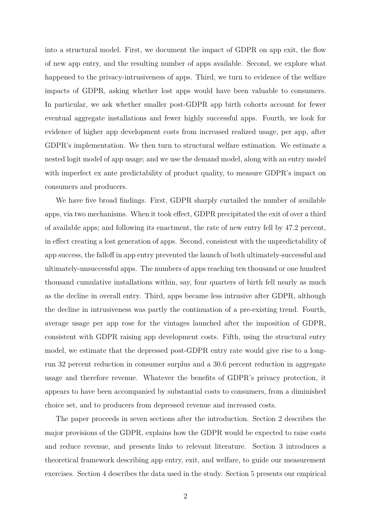into a structural model. First, we document the impact of GDPR on app exit, the flow of new app entry, and the resulting number of apps available. Second, we explore what happened to the privacy-intrusiveness of apps. Third, we turn to evidence of the welfare impacts of GDPR, asking whether lost apps would have been valuable to consumers. In particular, we ask whether smaller post-GDPR app birth cohorts account for fewer eventual aggregate installations and fewer highly successful apps. Fourth, we look for evidence of higher app development costs from increased realized usage, per app, after GDPR's implementation. We then turn to structural welfare estimation. We estimate a nested logit model of app usage; and we use the demand model, along with an entry model with imperfect ex ante predictability of product quality, to measure GDPR's impact on consumers and producers.

We have five broad findings. First, GDPR sharply curtailed the number of available apps, via two mechanisms. When it took effect, GDPR precipitated the exit of over a third of available apps; and following its enactment, the rate of new entry fell by 47.2 percent, in effect creating a lost generation of apps. Second, consistent with the unpredictability of app success, the falloff in app entry prevented the launch of both ultimately-successful and ultimately-unsuccessful apps. The numbers of apps reaching ten thousand or one hundred thousand cumulative installations within, say, four quarters of birth fell nearly as much as the decline in overall entry. Third, apps became less intrusive after GDPR, although the decline in intrusiveness was partly the continuation of a pre-existing trend. Fourth, average usage per app rose for the vintages launched after the imposition of GDPR, consistent with GDPR raising app development costs. Fifth, using the structural entry model, we estimate that the depressed post-GDPR entry rate would give rise to a longrun 32 percent reduction in consumer surplus and a 30.6 percent reduction in aggregate usage and therefore revenue. Whatever the benefits of GDPR's privacy protection, it appears to have been accompanied by substantial costs to consumers, from a diminished choice set, and to producers from depressed revenue and increased costs.

The paper proceeds in seven sections after the introduction. Section 2 describes the major provisions of the GDPR, explains how the GDPR would be expected to raise costs and reduce revenue, and presents links to relevant literature. Section 3 introduces a theoretical framework describing app entry, exit, and welfare, to guide our measurement exercises. Section 4 describes the data used in the study. Section 5 presents our empirical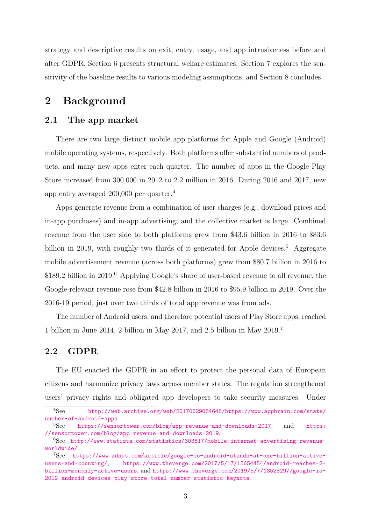strategy and descriptive results on exit, entry, usage, and app intrusiveness before and after GDPR. Section 6 presents structural welfare estimates. Section 7 explores the sensitivity of the baseline results to various modeling assumptions, and Section 8 concludes.

# **2 Background**

# <span id="page-4-4"></span>**2.1 The app market**

There are two large distinct mobile app platforms for Apple and Google (Android) mobile operating systems, respectively. Both platforms offer substantial numbers of products, and many new apps enter each quarter. The number of apps in the Google Play Store increased from 300,000 in 2012 to 2.2 million in 2016. During 2016 and 2017, new app entry averaged 200,000 per quarter.[4](#page-4-0)

Apps generate revenue from a combination of user charges (e.g., download prices and in-app purchases) and in-app advertising; and the collective market is large. Combined revenue from the user side to both platforms grew from \$43.6 billion in 2016 to \$83.6 billion in 2019, with roughly two thirds of it generated for Apple devices.<sup>[5](#page-4-1)</sup> Aggregate mobile advertisement revenue (across both platforms) grew from \$80.7 billion in 2016 to \$189.2 billion in 2019.<sup>[6](#page-4-2)</sup> Applying Google's share of user-based revenue to all revenue, the Google-relevant revenue rose from \$42.8 billion in 2016 to \$95.9 billion in 2019. Over the 2016-19 period, just over two thirds of total app revenue was from ads.

The number of Android users, and therefore potential users of Play Store apps, reached 1 billion in June 2014, 2 billion in May 2017, and 2.5 billion in May 2019.[7](#page-4-3)

# **2.2 GDPR**

The EU enacted the GDPR in an effort to protect the personal data of European citizens and harmonize privacy laws across member states. The regulation strengthened users' privacy rights and obligated app developers to take security measures. Under

<span id="page-4-0"></span><sup>4</sup>See [http://web.archive.org/web/20170629084648/https://www.appbrain.com/stats/](http://web.archive.org/web/20170629084648/https://www.appbrain.com/stats/number-of-android-apps) [number-of-android-apps](http://web.archive.org/web/20170629084648/https://www.appbrain.com/stats/number-of-android-apps).<br>
<sup>5</sup>See https://senso

<span id="page-4-1"></span>[https://sensortower.com/blog/app-revenue-and-downloads-2017]( https://sensortower.com/blog/app-revenue-and-downloads-2017) and [https:](https://sensortower.com/blog/app-revenue-and-downloads-2019) [//sensortower.com/blog/app-revenue-and-downloads-2019](https://sensortower.com/blog/app-revenue-and-downloads-2019).

<span id="page-4-2"></span><sup>6</sup>See [http://www.statista.com/statistics/303817/mobile-internet-advertising-revenue](http://www.statista.com/statistics/303817/mobile-internet-advertising-revenue-worldwide/)[worldwide/](http://www.statista.com/statistics/303817/mobile-internet-advertising-revenue-worldwide/).

<span id="page-4-3"></span><sup>7</sup>See [https://www.zdnet.com/article/google-io-android-stands-at-one-billion-active](https://www.zdnet.com/article/google-io-android-stands-at-one-billion-active-users-and-counting/)[users-and-counting/](https://www.zdnet.com/article/google-io-android-stands-at-one-billion-active-users-and-counting/), [https://www.theverge.com/2017/5/17/15654454/android-reaches-2](https://www.theverge.com/2017/5/17/15654454/android-reaches-2-billion-monthly-active-users) [billion-monthly-active-users](https://www.theverge.com/2017/5/17/15654454/android-reaches-2-billion-monthly-active-users), and [https://www.theverge.com/2019/5/7/18528297/google-io-](https://www.theverge.com/2019/5/7/18528297/google-io-2019-android-devices-play-store-total-number-statistic-keynote.)[2019-android-devices-play-store-total-number-statistic-keynote.](https://www.theverge.com/2019/5/7/18528297/google-io-2019-android-devices-play-store-total-number-statistic-keynote.)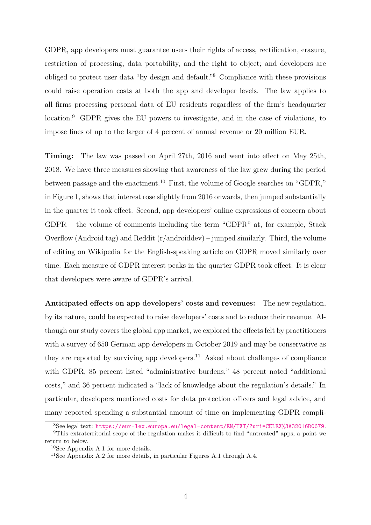GDPR, app developers must guarantee users their rights of access, rectification, erasure, restriction of processing, data portability, and the right to object; and developers are obliged to protect user data "by design and default."[8](#page-5-0) Compliance with these provisions could raise operation costs at both the app and developer levels. The law applies to all firms processing personal data of EU residents regardless of the firm's headquarter location.<sup>[9](#page-5-1)</sup> GDPR gives the EU powers to investigate, and in the case of violations, to impose fines of up to the larger of 4 percent of annual revenue or 20 million EUR.

**Timing:** The law was passed on April 27th, 2016 and went into effect on May 25th, 2018. We have three measures showing that awareness of the law grew during the period between passage and the enactment.<sup>[10](#page-5-2)</sup> First, the volume of Google searches on "GDPR," in Figure [1,](#page-6-0) shows that interest rose slightly from 2016 onwards, then jumped substantially in the quarter it took effect. Second, app developers' online expressions of concern about GDPR – the volume of comments including the term "GDPR" at, for example, Stack Overflow (Android tag) and Reddit (r/androiddev) – jumped similarly. Third, the volume of editing on Wikipedia for the English-speaking article on GDPR moved similarly over time. Each measure of GDPR interest peaks in the quarter GDPR took effect. It is clear that developers were aware of GDPR's arrival.

**Anticipated effects on app developers' costs and revenues:** The new regulation, by its nature, could be expected to raise developers' costs and to reduce their revenue. Although our study covers the global app market, we explored the effects felt by practitioners with a survey of 650 German app developers in October 2019 and may be conservative as they are reported by surviving app developers.<sup>[11](#page-5-3)</sup> Asked about challenges of compliance with GDPR, 85 percent listed "administrative burdens," 48 percent noted "additional costs," and 36 percent indicated a "lack of knowledge about the regulation's details." In particular, developers mentioned costs for data protection officers and legal advice, and many reported spending a substantial amount of time on implementing GDPR compli-

<span id="page-5-1"></span><span id="page-5-0"></span><sup>8</sup>See legal text: <https://eur-lex.europa.eu/legal-content/EN/TXT/?uri=CELEX%3A32016R0679>.

<sup>9</sup>This extraterritorial scope of the regulation makes it difficult to find "untreated" apps, a point we return to below.

<span id="page-5-2"></span><sup>10</sup>See Appendix [A.1](#page-43-0) for more details.

<span id="page-5-3"></span><sup>11</sup>See Appendix [A.2](#page-44-0) for more details, in particular Figures [A.1](#page-44-1) through [A.4.](#page-47-0)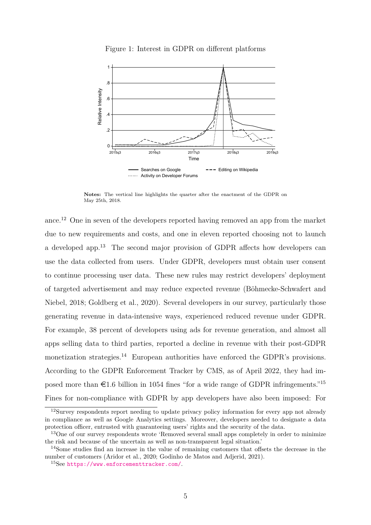<span id="page-6-0"></span>

Figure 1: Interest in GDPR on different platforms

**Notes:** The vertical line highlights the quarter after the enactment of the GDPR on May 25th, 2018.

ance.[12](#page-6-1) One in seven of the developers reported having removed an app from the market due to new requirements and costs, and one in eleven reported choosing not to launch a developed app.[13](#page-6-2) The second major provision of GDPR affects how developers can use the data collected from users. Under GDPR, developers must obtain user consent to continue processing user data. These new rules may restrict developers' deployment of targeted advertisement and may reduce expected revenue [\(Böhmecke-Schwafert and](#page-39-3) [Niebel, 2018;](#page-39-3) [Goldberg et al., 2020\)](#page-40-1). Several developers in our survey, particularly those generating revenue in data-intensive ways, experienced reduced revenue under GDPR. For example, 38 percent of developers using ads for revenue generation, and almost all apps selling data to third parties, reported a decline in revenue with their post-GDPR monetization strategies.<sup>[14](#page-6-3)</sup> European authorities have enforced the GDPR's provisions. According to the GDPR Enforcement Tracker by CMS, as of April 2022, they had imposed more than  $\epsilon$ 1.6 billion in 1054 fines "for a wide range of GDPR infringements."<sup>[15](#page-6-4)</sup> Fines for non-compliance with GDPR by app developers have also been imposed: For

<span id="page-6-1"></span> $12$ Survey respondents report needing to update privacy policy information for every app not already in compliance as well as Google Analytics settings. Moreover, developers needed to designate a data protection officer, entrusted with guaranteeing users' rights and the security of the data.

<span id="page-6-2"></span><sup>&</sup>lt;sup>13</sup>One of our survey respondents wrote 'Removed several small apps completely in order to minimize the risk and because of the uncertain as well as non-transparent legal situation.'

<span id="page-6-3"></span><sup>14</sup>Some studies find an increase in the value of remaining customers that offsets the decrease in the number of customers [\(Aridor et al., 2020;](#page-39-4) [Godinho de Matos and Adjerid, 2021\)](#page-39-5).

<span id="page-6-4"></span><sup>15</sup>See <https://www.enforcementtracker.com/>.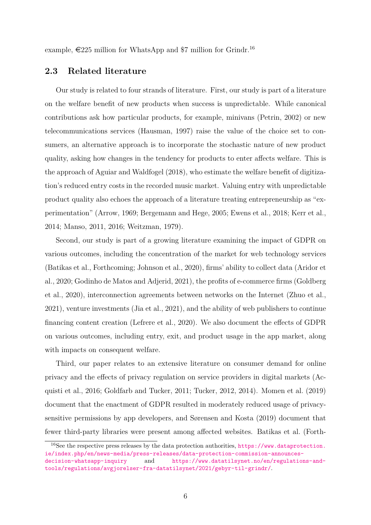example,  $\epsilon$ 225 million for WhatsApp and \$7 million for Grindr.<sup>[16](#page-7-0)</sup>

### **2.3 Related literature**

Our study is related to four strands of literature. First, our study is part of a literature on the welfare benefit of new products when success is unpredictable. While canonical contributions ask how particular products, for example, minivans [\(Petrin, 2002\)](#page-41-3) or new telecommunications services [\(Hausman, 1997\)](#page-40-2) raise the value of the choice set to consumers, an alternative approach is to incorporate the stochastic nature of new product quality, asking how changes in the tendency for products to enter affects welfare. This is the approach of [Aguiar and Waldfogel](#page-39-2) [\(2018\)](#page-39-2), who estimate the welfare benefit of digitization's reduced entry costs in the recorded music market. Valuing entry with unpredictable product quality also echoes the approach of a literature treating entrepreneurship as "experimentation" [\(Arrow, 1969;](#page-39-0) [Bergemann and Hege, 2005;](#page-39-1) [Ewens et al., 2018;](#page-40-3) [Kerr et al.,](#page-40-0) [2014;](#page-40-0) [Manso, 2011,](#page-41-0) [2016;](#page-41-1) [Weitzman, 1979\)](#page-41-2).

Second, our study is part of a growing literature examining the impact of GDPR on various outcomes, including the concentration of the market for web technology services [\(Batikas et al., Forthcoming;](#page-39-6) [Johnson et al., 2020\)](#page-40-4), firms' ability to collect data [\(Aridor et](#page-39-4) [al., 2020;](#page-39-4) [Godinho de Matos and Adjerid, 2021\)](#page-39-5), the profits of e-commerce firms [\(Goldberg](#page-40-1) [et al., 2020\)](#page-40-1), interconnection agreements between networks on the Internet [\(Zhuo et al.,](#page-41-4) [2021\)](#page-41-4), venture investments [\(Jia et al., 2021\)](#page-40-5), and the ability of web publishers to continue financing content creation [\(Lefrere et al., 2020\)](#page-40-6). We also document the effects of GDPR on various outcomes, including entry, exit, and product usage in the app market, along with impacts on consequent welfare.

Third, our paper relates to an extensive literature on consumer demand for online privacy and the effects of privacy regulation on service providers in digital markets [\(Ac](#page-39-7)[quisti et al., 2016;](#page-39-7) [Goldfarb and Tucker, 2011;](#page-40-7) [Tucker, 2012,](#page-41-5) [2014\)](#page-41-6). [Momen et al.](#page-41-7) [\(2019\)](#page-41-7) document that the enactment of GDPR resulted in moderately reduced usage of privacysensitive permissions by app developers, and [Sørensen and Kosta](#page-41-8) [\(2019\)](#page-41-8) document that fewer third-party libraries were present among affected websites. [Batikas et al.](#page-39-6) [\(Forth-](#page-39-6)

<span id="page-7-0"></span><sup>16</sup>[See the respective press releases by the data protection authorities,](#page-39-6) [https://www.dataprotection.](https://www.dataprotection.ie/index.php/en/news-media/press-releases/data-protection-commission-announces-decision-whatsapp-inquiry) [ie/index.php/en/news-media/press-releases/data-protection-commission-announces](#page-39-6)[decision-whatsapp-inquiry](https://www.dataprotection.ie/index.php/en/news-media/press-releases/data-protection-commission-announces-decision-whatsapp-inquiry) and [https://www.datatilsynet.no/en/regulations-and](#page-39-6)[tools/regulations/avgjorelser-fra-datatilsynet/2021/gebyr-til-grindr/](#page-39-6).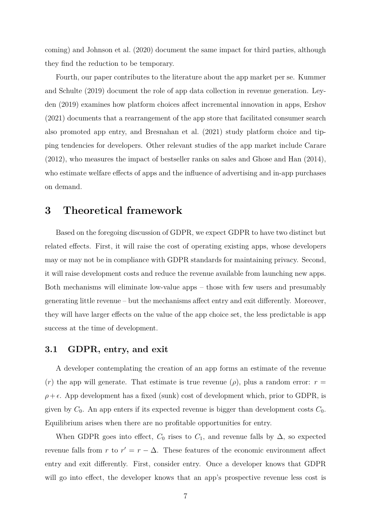[coming\)](#page-39-6) and [Johnson et al.](#page-40-4) [\(2020\)](#page-40-4) document the same impact for third parties, although they find the reduction to be temporary.

Fourth, our paper contributes to the literature about the app market per se. [Kummer](#page-40-8) [and Schulte](#page-40-8) [\(2019\)](#page-40-8) document the role of app data collection in revenue generation. [Ley](#page-40-9)[den](#page-40-9) [\(2019\)](#page-40-9) examines how platform choices affect incremental innovation in apps, [Ershov](#page-39-8) [\(2021\)](#page-39-8) documents that a rearrangement of the app store that facilitated consumer search also promoted app entry, and [Bresnahan et al.](#page-39-9) [\(2021\)](#page-39-9) study platform choice and tipping tendencies for developers. Other relevant studies of the app market include [Carare](#page-39-10) [\(2012\)](#page-39-10), who measures the impact of bestseller ranks on sales and [Ghose and Han](#page-40-10) [\(2014\)](#page-40-10), who estimate welfare effects of apps and the influence of advertising and in-app purchases on demand.

# **3 Theoretical framework**

Based on the foregoing discussion of GDPR, we expect GDPR to have two distinct but related effects. First, it will raise the cost of operating existing apps, whose developers may or may not be in compliance with GDPR standards for maintaining privacy. Second, it will raise development costs and reduce the revenue available from launching new apps. Both mechanisms will eliminate low-value apps – those with few users and presumably generating little revenue – but the mechanisms affect entry and exit differently. Moreover, they will have larger effects on the value of the app choice set, the less predictable is app success at the time of development.

### <span id="page-8-0"></span>**3.1 GDPR, entry, and exit**

A developer contemplating the creation of an app forms an estimate of the revenue (*r*) the app will generate. That estimate is true revenue ( $\rho$ ), plus a random error:  $r =$  $\rho + \epsilon$ . App development has a fixed (sunk) cost of development which, prior to GDPR, is given by  $C_0$ . An app enters if its expected revenue is bigger than development costs  $C_0$ . Equilibrium arises when there are no profitable opportunities for entry.

When GDPR goes into effect,  $C_0$  rises to  $C_1$ , and revenue falls by  $\Delta$ , so expected revenue falls from *r* to  $r' = r - \Delta$ . These features of the economic environment affect entry and exit differently. First, consider entry. Once a developer knows that GDPR will go into effect, the developer knows that an app's prospective revenue less cost is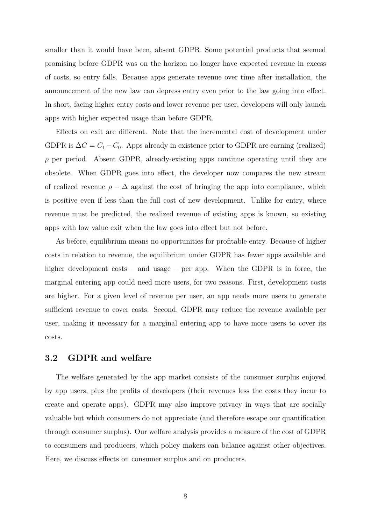smaller than it would have been, absent GDPR. Some potential products that seemed promising before GDPR was on the horizon no longer have expected revenue in excess of costs, so entry falls. Because apps generate revenue over time after installation, the announcement of the new law can depress entry even prior to the law going into effect. In short, facing higher entry costs and lower revenue per user, developers will only launch apps with higher expected usage than before GDPR.

Effects on exit are different. Note that the incremental cost of development under GDPR is  $\Delta C = C_1 - C_0$ . Apps already in existence prior to GDPR are earning (realized) *ρ* per period. Absent GDPR, already-existing apps continue operating until they are obsolete. When GDPR goes into effect, the developer now compares the new stream of realized revenue  $\rho - \Delta$  against the cost of bringing the app into compliance, which is positive even if less than the full cost of new development. Unlike for entry, where revenue must be predicted, the realized revenue of existing apps is known, so existing apps with low value exit when the law goes into effect but not before.

As before, equilibrium means no opportunities for profitable entry. Because of higher costs in relation to revenue, the equilibrium under GDPR has fewer apps available and higher development costs – and usage – per app. When the GDPR is in force, the marginal entering app could need more users, for two reasons. First, development costs are higher. For a given level of revenue per user, an app needs more users to generate sufficient revenue to cover costs. Second, GDPR may reduce the revenue available per user, making it necessary for a marginal entering app to have more users to cover its costs.

## **3.2 GDPR and welfare**

The welfare generated by the app market consists of the consumer surplus enjoyed by app users, plus the profits of developers (their revenues less the costs they incur to create and operate apps). GDPR may also improve privacy in ways that are socially valuable but which consumers do not appreciate (and therefore escape our quantification through consumer surplus). Our welfare analysis provides a measure of the cost of GDPR to consumers and producers, which policy makers can balance against other objectives. Here, we discuss effects on consumer surplus and on producers.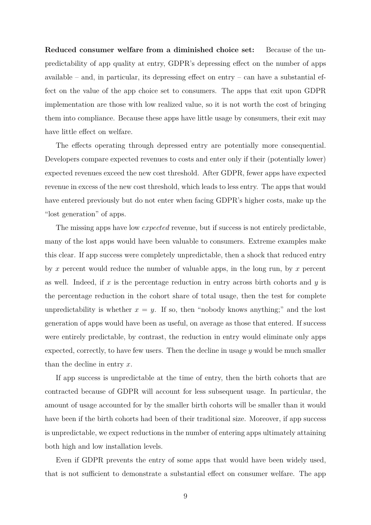**Reduced consumer welfare from a diminished choice set:** Because of the unpredictability of app quality at entry, GDPR's depressing effect on the number of apps available – and, in particular, its depressing effect on entry – can have a substantial effect on the value of the app choice set to consumers. The apps that exit upon GDPR implementation are those with low realized value, so it is not worth the cost of bringing them into compliance. Because these apps have little usage by consumers, their exit may have little effect on welfare.

The effects operating through depressed entry are potentially more consequential. Developers compare expected revenues to costs and enter only if their (potentially lower) expected revenues exceed the new cost threshold. After GDPR, fewer apps have expected revenue in excess of the new cost threshold, which leads to less entry. The apps that would have entered previously but do not enter when facing GDPR's higher costs, make up the "lost generation" of apps.

The missing apps have low *expected* revenue, but if success is not entirely predictable, many of the lost apps would have been valuable to consumers. Extreme examples make this clear. If app success were completely unpredictable, then a shock that reduced entry by *x* percent would reduce the number of valuable apps, in the long run, by *x* percent as well. Indeed, if *x* is the percentage reduction in entry across birth cohorts and *y* is the percentage reduction in the cohort share of total usage, then the test for complete unpredictability is whether  $x = y$ . If so, then "nobody knows anything;" and the lost generation of apps would have been as useful, on average as those that entered. If success were entirely predictable, by contrast, the reduction in entry would eliminate only apps expected, correctly, to have few users. Then the decline in usage *y* would be much smaller than the decline in entry *x*.

If app success is unpredictable at the time of entry, then the birth cohorts that are contracted because of GDPR will account for less subsequent usage. In particular, the amount of usage accounted for by the smaller birth cohorts will be smaller than it would have been if the birth cohorts had been of their traditional size. Moreover, if app success is unpredictable, we expect reductions in the number of entering apps ultimately attaining both high and low installation levels.

Even if GDPR prevents the entry of some apps that would have been widely used, that is not sufficient to demonstrate a substantial effect on consumer welfare. The app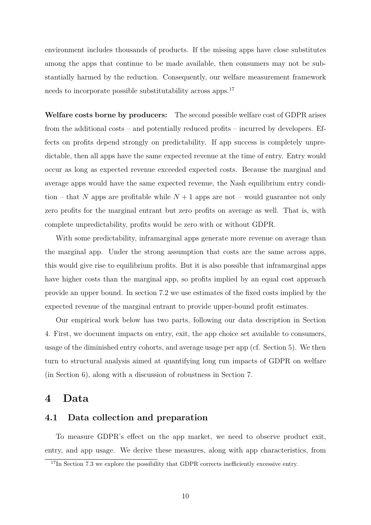environment includes thousands of products. If the missing apps have close substitutes among the apps that continue to be made available, then consumers may not be substantially harmed by the reduction. Consequently, our welfare measurement framework needs to incorporate possible substitutability across apps.[17](#page-11-0)

**Welfare costs borne by producers:** The second possible welfare cost of GDPR arises from the additional costs – and potentially reduced profits – incurred by developers. Effects on profits depend strongly on predictability. If app success is completely unpredictable, then all apps have the same expected revenue at the time of entry. Entry would occur as long as expected revenue exceeded expected costs. Because the marginal and average apps would have the same expected revenue, the Nash equilibrium entry condition – that N apps are profitable while  $N+1$  apps are not – would guarantee not only zero profits for the marginal entrant but zero profits on average as well. That is, with complete unpredictability, profits would be zero with or without GDPR.

With some predictability, inframarginal apps generate more revenue on average than the marginal app. Under the strong assumption that costs are the same across apps, this would give rise to equilibrium profits. But it is also possible that inframarginal apps have higher costs than the marginal app, so profits implied by an equal cost approach provide an upper bound. In section [7.2](#page-33-0) we use estimates of the fixed costs implied by the expected revenue of the marginal entrant to provide upper-bound profit estimates.

Our empirical work below has two parts, following our data description in Section [4.](#page-11-1) First, we document impacts on entry, exit, the app choice set available to consumers, usage of the diminished entry cohorts, and average usage per app (cf. Section [5\)](#page-20-0). We then turn to structural analysis aimed at quantifying long run impacts of GDPR on welfare (in Section [6\)](#page-28-0), along with a discussion of robustness in Section [7.](#page-31-0)

# <span id="page-11-1"></span>**4 Data**

# <span id="page-11-2"></span>**4.1 Data collection and preparation**

To measure GDPR's effect on the app market, we need to observe product exit, entry, and app usage. We derive these measures, along with app characteristics, from

<span id="page-11-0"></span><sup>&</sup>lt;sup>17</sup>In Section [7.3](#page-35-0) we explore the possibility that GDPR corrects inefficiently excessive entry.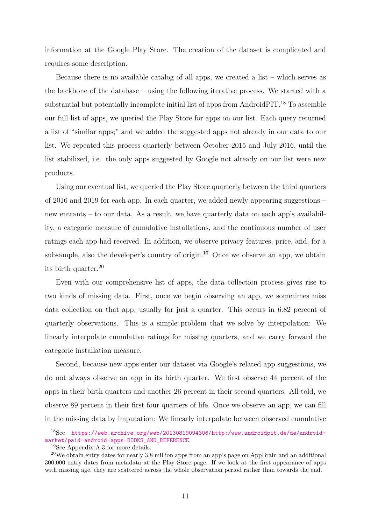information at the Google Play Store. The creation of the dataset is complicated and requires some description.

Because there is no available catalog of all apps, we created a list – which serves as the backbone of the database – using the following iterative process. We started with a substantial but potentially incomplete initial list of apps from AndroidPIT.<sup>[18](#page-12-0)</sup> To assemble our full list of apps, we queried the Play Store for apps on our list. Each query returned a list of "similar apps;" and we added the suggested apps not already in our data to our list. We repeated this process quarterly between October 2015 and July 2016, until the list stabilized, i.e. the only apps suggested by Google not already on our list were new products.

Using our eventual list, we queried the Play Store quarterly between the third quarters of 2016 and 2019 for each app. In each quarter, we added newly-appearing suggestions – new entrants – to our data. As a result, we have quarterly data on each app's availability, a categoric measure of cumulative installations, and the continuous number of user ratings each app had received. In addition, we observe privacy features, price, and, for a subsample, also the developer's country of origin.<sup>[19](#page-12-1)</sup> Once we observe an app, we obtain its birth quarter.[20](#page-12-2)

Even with our comprehensive list of apps, the data collection process gives rise to two kinds of missing data. First, once we begin observing an app, we sometimes miss data collection on that app, usually for just a quarter. This occurs in 6.82 percent of quarterly observations. This is a simple problem that we solve by interpolation: We linearly interpolate cumulative ratings for missing quarters, and we carry forward the categoric installation measure.

Second, because new apps enter our dataset via Google's related app suggestions, we do not always observe an app in its birth quarter. We first observe 44 percent of the apps in their birth quarters and another 26 percent in their second quarters. All told, we observe 89 percent in their first four quarters of life. Once we observe an app, we can fill in the missing data by imputation: We linearly interpolate between observed cumulative

<span id="page-12-0"></span><sup>18</sup>See [https://web.archive.org/web/20130819094306/http:/www.androidpit.de/de/android](https://web.archive.org/web/20130819094306/http:/www.androidpit.de/de/android-market/paid-android-apps-BOOKS_AND_REFERENCE)[market/paid-android-apps-BOOKS\\_AND\\_REFERENCE](https://web.archive.org/web/20130819094306/http:/www.androidpit.de/de/android-market/paid-android-apps-BOOKS_AND_REFERENCE).

<span id="page-12-2"></span><span id="page-12-1"></span><sup>19</sup>See Appendix [A.3](#page-47-1) for more details.

<sup>20</sup>We obtain entry dates for nearly 3.8 million apps from an app's page on AppBrain and an additional 300,000 entry dates from metadata at the Play Store page. If we look at the first appearance of apps with missing age, they are scattered across the whole observation period rather than towards the end.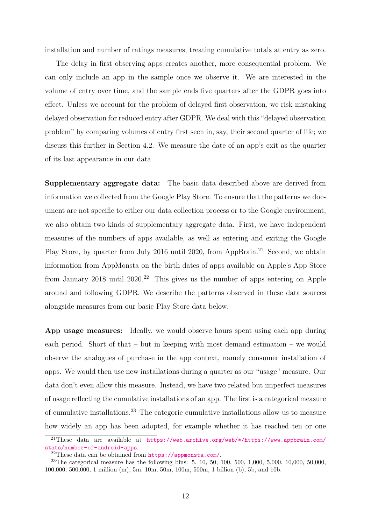installation and number of ratings measures, treating cumulative totals at entry as zero.

The delay in first observing apps creates another, more consequential problem. We can only include an app in the sample once we observe it. We are interested in the volume of entry over time, and the sample ends five quarters after the GDPR goes into effect. Unless we account for the problem of delayed first observation, we risk mistaking delayed observation for reduced entry after GDPR. We deal with this "delayed observation problem" by comparing volumes of entry first seen in, say, their second quarter of life; we discuss this further in Section 4.2. We measure the date of an app's exit as the quarter of its last appearance in our data.

**Supplementary aggregate data:** The basic data described above are derived from information we collected from the Google Play Store. To ensure that the patterns we document are not specific to either our data collection process or to the Google environment, we also obtain two kinds of supplementary aggregate data. First, we have independent measures of the numbers of apps available, as well as entering and exiting the Google Play Store, by quarter from July 2016 until 2020, from AppBrain.<sup>[21](#page-13-0)</sup> Second, we obtain information from AppMonsta on the birth dates of apps available on Apple's App Store from January 2018 until  $2020<sup>22</sup>$  $2020<sup>22</sup>$  $2020<sup>22</sup>$  This gives us the number of apps entering on Apple around and following GDPR. We describe the patterns observed in these data sources alongside measures from our basic Play Store data below.

**App usage measures:** Ideally, we would observe hours spent using each app during each period. Short of that – but in keeping with most demand estimation – we would observe the analogues of purchase in the app context, namely consumer installation of apps. We would then use new installations during a quarter as our "usage" measure. Our data don't even allow this measure. Instead, we have two related but imperfect measures of usage reflecting the cumulative installations of an app. The first is a categorical measure of cumulative installations.[23](#page-13-2) The categoric cumulative installations allow us to measure how widely an app has been adopted, for example whether it has reached ten or one

<span id="page-13-0"></span><sup>&</sup>lt;sup>21</sup>These data are available at [https://web.archive.org/web/\\*/https://www.appbrain.com/](https://web.archive.org/web/*/https://www.appbrain.com/stats/number-of-android-apps) [stats/number-of-android-apps](https://web.archive.org/web/*/https://www.appbrain.com/stats/number-of-android-apps).

<span id="page-13-2"></span><span id="page-13-1"></span><sup>&</sup>lt;sup>22</sup>These data can be obtained from  $https://approxation.com/$ .

<sup>&</sup>lt;sup>23</sup>The categorical measure has the following bins: 5, 10, 50, 100, 500, 1,000, 5,000, 10,000, 50,000, 100,000, 500,000, 1 million (m), 5m, 10m, 50m, 100m, 500m, 1 billion (b), 5b, and 10b.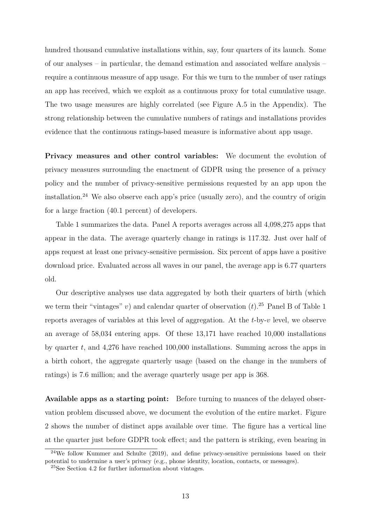hundred thousand cumulative installations within, say, four quarters of its launch. Some of our analyses – in particular, the demand estimation and associated welfare analysis – require a continuous measure of app usage. For this we turn to the number of user ratings an app has received, which we exploit as a continuous proxy for total cumulative usage. The two usage measures are highly correlated (see Figure [A.5](#page-48-0) in the Appendix). The strong relationship between the cumulative numbers of ratings and installations provides evidence that the continuous ratings-based measure is informative about app usage.

**Privacy measures and other control variables:** We document the evolution of privacy measures surrounding the enactment of GDPR using the presence of a privacy policy and the number of privacy-sensitive permissions requested by an app upon the installation.<sup>[24](#page-14-0)</sup> We also observe each app's price (usually zero), and the country of origin for a large fraction (40.1 percent) of developers.

Table [1](#page-15-0) summarizes the data. Panel A reports averages across all 4,098,275 apps that appear in the data. The average quarterly change in ratings is 117.32. Just over half of apps request at least one privacy-sensitive permission. Six percent of apps have a positive download price. Evaluated across all waves in our panel, the average app is 6.77 quarters old.

Our descriptive analyses use data aggregated by both their quarters of birth (which we term their "vintages" *v*) and calendar quarter of observation  $(t)$ .<sup>[25](#page-14-1)</sup> Panel B of Table [1](#page-15-0) reports averages of variables at this level of aggregation. At the *t*-by-*v* level, we observe an average of 58,034 entering apps. Of these 13,171 have reached 10,000 installations by quarter *t*, and 4,276 have reached 100,000 installations. Summing across the apps in a birth cohort, the aggregate quarterly usage (based on the change in the numbers of ratings) is 7.6 million; and the average quarterly usage per app is 368.

**Available apps as a starting point:** Before turning to nuances of the delayed observation problem discussed above, we document the evolution of the entire market. Figure [2](#page-16-0) shows the number of distinct apps available over time. The figure has a vertical line at the quarter just before GDPR took effect; and the pattern is striking, even bearing in

<span id="page-14-0"></span> $24$ We follow [Kummer and Schulte](#page-40-8) [\(2019\)](#page-40-8), and define privacy-sensitive permissions based on their potential to undermine a user's privacy (e.g., phone identity, location, contacts, or messages).

<span id="page-14-1"></span><sup>25</sup>See Section 4.2 for further information about vintages.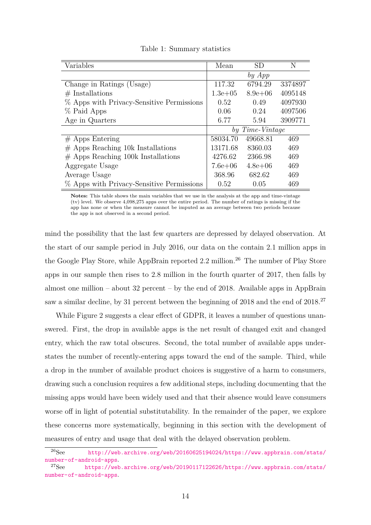<span id="page-15-0"></span>

| Variables                                 | Mean            | <b>SD</b>   | N       |
|-------------------------------------------|-----------------|-------------|---------|
|                                           |                 | by App      |         |
| Change in Ratings (Usage)                 | 117.32          | 6794.29     | 3374897 |
| $#$ Installations                         | $1.3e + 0.5$    | $8.9e + 06$ | 4095148 |
| % Apps with Privacy-Sensitive Permissions | 0.52            | 0.49        | 4097930 |
| % Paid Apps                               | 0.06            | 0.24        | 4097506 |
| Age in Quarters                           | 6.77            | 5.94        | 3909771 |
|                                           | by Time-Vintage |             |         |
| $#$ Apps Entering                         | 58034.70        | 49668.81    | 469     |
| $#$ Apps Reaching 10k Installations       | 13171.68        | 8360.03     | 469     |
| $#$ Apps Reaching 100k Installations      | 4276.62         | 2366.98     | 469     |
| Aggregate Usage                           | $7.6e + 06$     | $4.8e + 06$ | 469     |
| Average Usage                             | 368.96          | 682.62      | 469     |
| % Apps with Privacy-Sensitive Permissions | 0.52            | 0.05        | 469     |

Table 1: Summary statistics

**Notes:** This table shows the main variables that we use in the analysis at the app and time-vintage (tv) level. We observe 4,098,275 apps over the entire period. The number of ratings is missing if the app has none or when the measure cannot be imputed as an average between two periods because the app is not observed in a second period.

mind the possibility that the last few quarters are depressed by delayed observation. At the start of our sample period in July 2016, our data on the contain 2.1 million apps in the Google Play Store, while AppBrain reported 2.2 million.<sup>[26](#page-15-1)</sup> The number of Play Store apps in our sample then rises to 2.8 million in the fourth quarter of 2017, then falls by almost one million – about  $32$  percent – by the end of 2018. Available apps in AppBrain saw a similar decline, by 31 percent between the beginning of 2018 and the end of 2018.<sup>[27](#page-15-2)</sup>

While Figure [2](#page-16-0) suggests a clear effect of GDPR, it leaves a number of questions unanswered. First, the drop in available apps is the net result of changed exit and changed entry, which the raw total obscures. Second, the total number of available apps understates the number of recently-entering apps toward the end of the sample. Third, while a drop in the number of available product choices is suggestive of a harm to consumers, drawing such a conclusion requires a few additional steps, including documenting that the missing apps would have been widely used and that their absence would leave consumers worse off in light of potential substitutability. In the remainder of the paper, we explore these concerns more systematically, beginning in this section with the development of measures of entry and usage that deal with the delayed observation problem.

<span id="page-15-1"></span><sup>26</sup>See [http://web.archive.org/web/20160625194024/https://www.appbrain.com/stats/](http://web.archive.org/web/20160625194024/https://www.appbrain.com/stats/number-of-android-apps) [number-of-android-apps](http://web.archive.org/web/20160625194024/https://www.appbrain.com/stats/number-of-android-apps).<br><sup>27</sup>See https://web

<span id="page-15-2"></span>[https://web.archive.org/web/20190117122626/https://www.appbrain.com/stats/](https://web.archive.org/web/20190117122626/https://www.appbrain.com/stats/number-of-android-apps) [number-of-android-apps](https://web.archive.org/web/20190117122626/https://www.appbrain.com/stats/number-of-android-apps).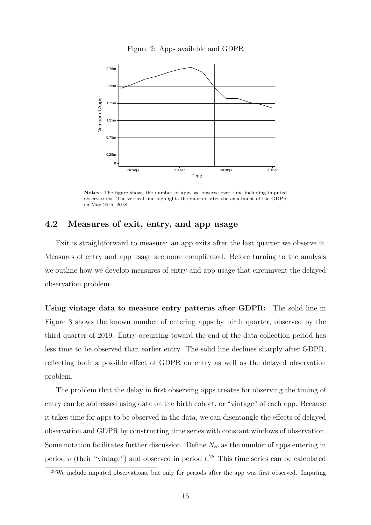

<span id="page-16-0"></span>

**Notes:** The figure shows the number of apps we observe over time including imputed observations. The vertical line highlights the quarter after the enactment of the GDPR on May 25th, 2018.

# **4.2 Measures of exit, entry, and app usage**

Exit is straightforward to measure: an app exits after the last quarter we observe it. Measures of entry and app usage are more complicated. Before turning to the analysis we outline how we develop measures of entry and app usage that circumvent the delayed observation problem.

**Using vintage data to measure entry patterns after GDPR:** The solid line in Figure [3](#page-17-0) shows the known number of entering apps by birth quarter, observed by the third quarter of 2019. Entry occurring toward the end of the data collection period has less time to be observed than earlier entry. The solid line declines sharply after GDPR, reflecting both a possible effect of GDPR on entry as well as the delayed observation problem.

The problem that the delay in first observing apps creates for observing the timing of entry can be addressed using data on the birth cohort, or "vintage" of each app. Because it takes time for apps to be observed in the data, we can disentangle the effects of delayed observation and GDPR by constructing time series with constant windows of observation. Some notation facilitates further discussion. Define  $N_{tv}$  as the number of apps entering in period *v* (their "vintage") and observed in period *t*. [28](#page-16-1) This time series can be calculated

<span id="page-16-1"></span><sup>28</sup>We include imputed observations, but only for periods after the app was first observed. Imputing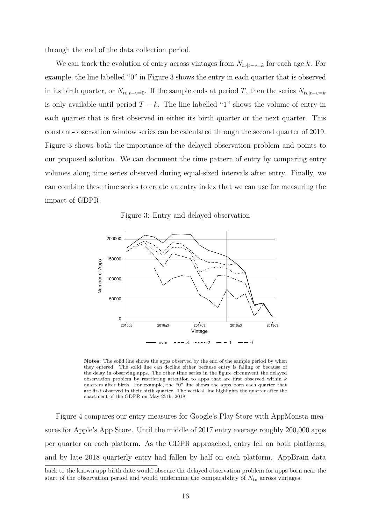through the end of the data collection period.

We can track the evolution of entry across vintages from  $N_{tv|t-v=k}$  for each age *k*. For example, the line labelled "0" in Figure [3](#page-17-0) shows the entry in each quarter that is observed in its birth quarter, or  $N_{tv|t-v=0}$ . If the sample ends at period *T*, then the series  $N_{tv|t-v=k}$ is only available until period  $T - k$ . The line labelled "1" shows the volume of entry in each quarter that is first observed in either its birth quarter or the next quarter. This constant-observation window series can be calculated through the second quarter of 2019. Figure [3](#page-17-0) shows both the importance of the delayed observation problem and points to our proposed solution. We can document the time pattern of entry by comparing entry volumes along time series observed during equal-sized intervals after entry. Finally, we can combine these time series to create an entry index that we can use for measuring the impact of GDPR.

Figure 3: Entry and delayed observation

<span id="page-17-0"></span>

**Notes:** The solid line shows the apps observed by the end of the sample period by when they entered. The solid line can decline either because entry is falling or because of the delay in observing apps. The other time series in the figure circumvent the delayed observation problem by restricting attention to apps that are first observed within *k* quarters after birth. For example, the "0" line shows the apps born each quarter that are first observed in their birth quarter. The vertical line highlights the quarter after the enactment of the GDPR on May 25th, 2018.

Figure [4](#page-18-0) compares our entry measures for Google's Play Store with AppMonsta measures for Apple's App Store. Until the middle of 2017 entry average roughly 200,000 apps per quarter on each platform. As the GDPR approached, entry fell on both platforms; and by late 2018 quarterly entry had fallen by half on each platform. AppBrain data

back to the known app birth date would obscure the delayed observation problem for apps born near the start of the observation period and would undermine the comparability of  $N_{tv}$  across vintages.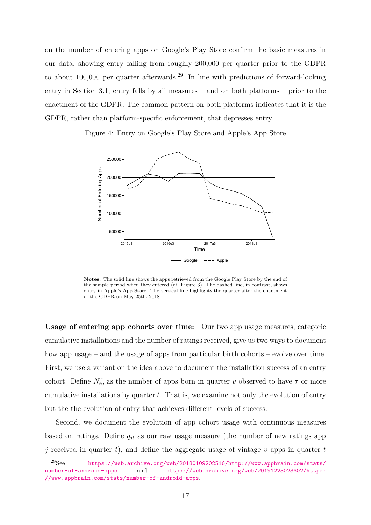on the number of entering apps on Google's Play Store confirm the basic measures in our data, showing entry falling from roughly 200,000 per quarter prior to the GDPR to about 100,000 per quarter afterwards.[29](#page-18-1) In line with predictions of forward-looking entry in Section [3.1,](#page-8-0) entry falls by all measures – and on both platforms – prior to the enactment of the GDPR. The common pattern on both platforms indicates that it is the GDPR, rather than platform-specific enforcement, that depresses entry.

<span id="page-18-0"></span>Figure 4: Entry on Google's Play Store and Apple's App Store



**Notes:** The solid line shows the apps retrieved from the Google Play Store by the end of the sample period when they entered (cf. Figure [3\)](#page-17-0). The dashed line, in contrast, shows entry in Apple's App Store. The vertical line highlights the quarter after the enactment of the GDPR on May 25th, 2018.

**Usage of entering app cohorts over time:** Our two app usage measures, categoric cumulative installations and the number of ratings received, give us two ways to document how app usage – and the usage of apps from particular birth cohorts – evolve over time. First, we use a variant on the idea above to document the installation success of an entry cohort. Define  $N_t^{\tau}$  as the number of apps born in quarter *v* observed to have  $\tau$  or more cumulative installations by quarter *t*. That is, we examine not only the evolution of entry but the the evolution of entry that achieves different levels of success.

Second, we document the evolution of app cohort usage with continuous measures based on ratings. Define *qjt* as our raw usage measure (the number of new ratings app  $\dot{\gamma}$  received in quarter *t*), and define the aggregate usage of vintage *v* apps in quarter *t* 

<span id="page-18-1"></span><sup>29</sup>See [https://web.archive.org/web/20180109202516/http://www.appbrain.com/stats/](https://web.archive.org/web/20180109202516/http://www.appbrain.com/stats/number-of-android-apps) [number-of-android-apps](https://web.archive.org/web/20180109202516/http://www.appbrain.com/stats/number-of-android-apps) and [https://web.archive.org/web/20191223023602/https:](https://web.archive.org/web/20191223023602/https://www.appbrain.com/stats/number-of-android-apps) [//www.appbrain.com/stats/number-of-android-apps](https://web.archive.org/web/20191223023602/https://www.appbrain.com/stats/number-of-android-apps).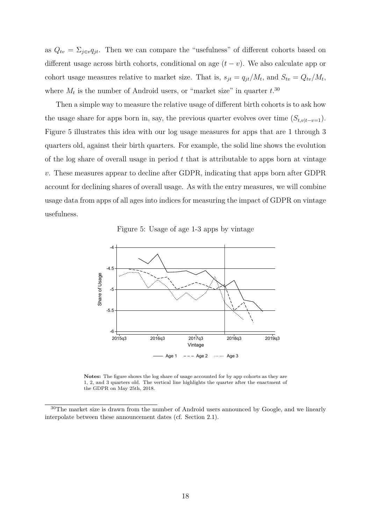as  $Q_{tv} = \sum_{j \in v} q_{jt}$ . Then we can compare the "usefulness" of different cohorts based on different usage across birth cohorts, conditional on age  $(t - v)$ . We also calculate app or cohort usage measures relative to market size. That is,  $s_{jt} = q_{jt}/M_t$ , and  $S_{tv} = Q_{tv}/M_t$ , where  $M_t$  is the number of Android users, or "market size" in quarter  $t^{30}$  $t^{30}$  $t^{30}$ .

Then a simple way to measure the relative usage of different birth cohorts is to ask how the usage share for apps born in, say, the previous quarter evolves over time  $(S_{t,v|t-v=1})$ . Figure [5](#page-19-1) illustrates this idea with our log usage measures for apps that are 1 through 3 quarters old, against their birth quarters. For example, the solid line shows the evolution of the log share of overall usage in period *t* that is attributable to apps born at vintage *v*. These measures appear to decline after GDPR, indicating that apps born after GDPR account for declining shares of overall usage. As with the entry measures, we will combine usage data from apps of all ages into indices for measuring the impact of GDPR on vintage usefulness.

Figure 5: Usage of age 1-3 apps by vintage

<span id="page-19-1"></span>

**Notes:** The figure shows the log share of usage accounted for by app cohorts as they are 1, 2, and 3 quarters old. The vertical line highlights the quarter after the enactment of the GDPR on May 25th, 2018.

<span id="page-19-0"></span><sup>&</sup>lt;sup>30</sup>The market size is drawn from the number of Android users announced by Google, and we linearly interpolate between these announcement dates (cf. Section [2.1\)](#page-4-4).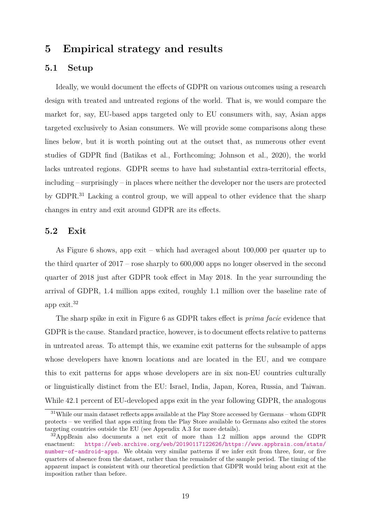# <span id="page-20-0"></span>**5 Empirical strategy and results**

# **5.1 Setup**

Ideally, we would document the effects of GDPR on various outcomes using a research design with treated and untreated regions of the world. That is, we would compare the market for, say, EU-based apps targeted only to EU consumers with, say, Asian apps targeted exclusively to Asian consumers. We will provide some comparisons along these lines below, but it is worth pointing out at the outset that, as numerous other event studies of GDPR find [\(Batikas et al., Forthcoming;](#page-39-6) [Johnson et al., 2020\)](#page-40-4), the world lacks untreated regions. GDPR seems to have had substantial extra-territorial effects, including – surprisingly – in places where neither the developer nor the users are protected by GDPR.[31](#page-20-1) Lacking a control group, we will appeal to other evidence that the sharp changes in entry and exit around GDPR are its effects.

# **5.2 Exit**

As Figure [6](#page-21-0) shows, app exit – which had averaged about 100,000 per quarter up to the third quarter of 2017 – rose sharply to 600,000 apps no longer observed in the second quarter of 2018 just after GDPR took effect in May 2018. In the year surrounding the arrival of GDPR, 1.4 million apps exited, roughly 1.1 million over the baseline rate of app exit.[32](#page-20-2)

The sharp spike in exit in Figure [6](#page-21-0) as GDPR takes effect is *prima facie* evidence that GDPR is the cause. Standard practice, however, is to document effects relative to patterns in untreated areas. To attempt this, we examine exit patterns for the subsample of apps whose developers have known locations and are located in the EU, and we compare this to exit patterns for apps whose developers are in six non-EU countries culturally or linguistically distinct from the EU: Israel, India, Japan, Korea, Russia, and Taiwan. While 42.1 percent of EU-developed apps exit in the year following GDPR, the analogous

<span id="page-20-1"></span><sup>&</sup>lt;sup>31</sup>While our main dataset reflects apps available at the Play Store accessed by Germans – whom GDPR protects – we verified that apps exiting from the Play Store available to Germans also exited the stores targeting countries outside the EU (see Appendix [A.3](#page-47-1) for more details).

<span id="page-20-2"></span><sup>32</sup>AppBrain also documents a net exit of more than 1.2 million apps around the GDPR enactment: [https://web.archive.org/web/20190117122626/https://www.appbrain.com/stats/](https://web.archive.org/web/20190117122626/https://www.appbrain.com/stats/number-of-android-apps) [number-of-android-apps](https://web.archive.org/web/20190117122626/https://www.appbrain.com/stats/number-of-android-apps). We obtain very similar patterns if we infer exit from three, four, or five quarters of absence from the dataset, rather than the remainder of the sample period. The timing of the apparent impact is consistent with our theoretical prediction that GDPR would bring about exit at the imposition rather than before.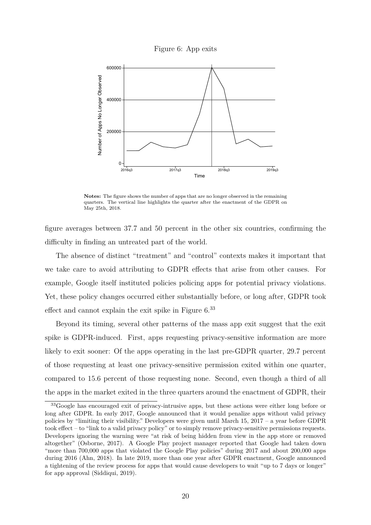

<span id="page-21-0"></span>

**Notes:** The figure shows the number of apps that are no longer observed in the remaining quarters. The vertical line highlights the quarter after the enactment of the GDPR on May 25th, 2018.

figure averages between 37.7 and 50 percent in the other six countries, confirming the difficulty in finding an untreated part of the world.

The absence of distinct "treatment" and "control" contexts makes it important that we take care to avoid attributing to GDPR effects that arise from other causes. For example, Google itself instituted policies policing apps for potential privacy violations. Yet, these policy changes occurred either substantially before, or long after, GDPR took effect and cannot explain the exit spike in Figure [6.](#page-21-0)[33](#page-21-1)

Beyond its timing, several other patterns of the mass app exit suggest that the exit spike is GDPR-induced. First, apps requesting privacy-sensitive information are more likely to exit sooner: Of the apps operating in the last pre-GDPR quarter, 29.7 percent of those requesting at least one privacy-sensitive permission exited within one quarter, compared to 15.6 percent of those requesting none. Second, even though a third of all the apps in the market exited in the three quarters around the enactment of GDPR, their

<span id="page-21-1"></span><sup>&</sup>lt;sup>33</sup>Google has encouraged exit of privacy-intrusive apps, but these actions were either long before or long after GDPR. In early 2017, Google announced that it would penalize apps without valid privacy policies by "limiting their visibility." Developers were given until March 15, 2017 – a year before GDPR took effect – to "link to a valid privacy policy" or to simply remove privacy-sensitive permissions requests. Developers ignoring the warning were "at risk of being hidden from view in the app store or removed altogether" [\(Osborne, 2017\)](#page-41-9). A Google Play project manager reported that Google had taken down "more than 700,000 apps that violated the Google Play policies" during 2017 and about 200,000 apps during 2016 [\(Ahn, 2018\)](#page-39-11). In late 2019, more than one year after GDPR enactment, Google announced a tightening of the review process for apps that would cause developers to wait "up to 7 days or longer" for app approval [\(Siddiqui, 2019\)](#page-41-10).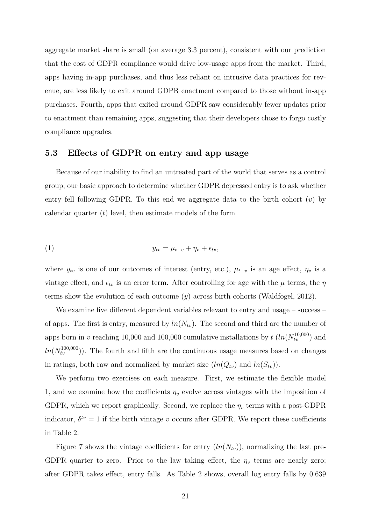aggregate market share is small (on average 3.3 percent), consistent with our prediction that the cost of GDPR compliance would drive low-usage apps from the market. Third, apps having in-app purchases, and thus less reliant on intrusive data practices for revenue, are less likely to exit around GDPR enactment compared to those without in-app purchases. Fourth, apps that exited around GDPR saw considerably fewer updates prior to enactment than remaining apps, suggesting that their developers chose to forgo costly compliance upgrades.

## **5.3 Effects of GDPR on entry and app usage**

Because of our inability to find an untreated part of the world that serves as a control group, our basic approach to determine whether GDPR depressed entry is to ask whether entry fell following GDPR. To this end we aggregate data to the birth cohort (*v*) by calendar quarter (*t*) level, then estimate models of the form

<span id="page-22-0"></span>
$$
(1) \t\t y_{tv} = \mu_{t-v} + \eta_v + \epsilon_{tv},
$$

where  $y_{tv}$  is one of our outcomes of interest (entry, etc.),  $\mu_{t-v}$  is an age effect,  $\eta_v$  is a vintage effect, and  $\epsilon_{tv}$  is an error term. After controlling for age with the  $\mu$  terms, the  $\eta$ terms show the evolution of each outcome (*y*) across birth cohorts [\(Waldfogel, 2012\)](#page-41-11).

We examine five different dependent variables relevant to entry and usage – success – of apps. The first is entry, measured by  $ln(N_{tv})$ . The second and third are the number of apps born in *v* reaching 10,000 and 100,000 cumulative installations by  $t \left( ln(N_{tv}^{10,000}) \text{ and } \right)$  $ln(N_{tv}^{100,000})$ . The fourth and fifth are the continuous usage measures based on changes in ratings, both raw and normalized by market size  $(ln(Q_{tv})$  and  $ln(S_{tv}))$ .

We perform two exercises on each measure. First, we estimate the flexible model [1,](#page-22-0) and we examine how the coefficients  $\eta_v$  evolve across vintages with the imposition of GDPR, which we report graphically. Second, we replace the  $\eta_v$  terms with a post-GDPR indicator,  $\delta^{tv} = 1$  if the birth vintage *v* occurs after GDPR. We report these coefficients in Table [2.](#page-25-0)

Figure [7](#page-23-0) shows the vintage coefficients for entry  $(ln(N_{tv}))$ , normalizing the last pre-GDPR quarter to zero. Prior to the law taking effect, the  $\eta_v$  terms are nearly zero; after GDPR takes effect, entry falls. As Table [2](#page-25-0) shows, overall log entry falls by 0.639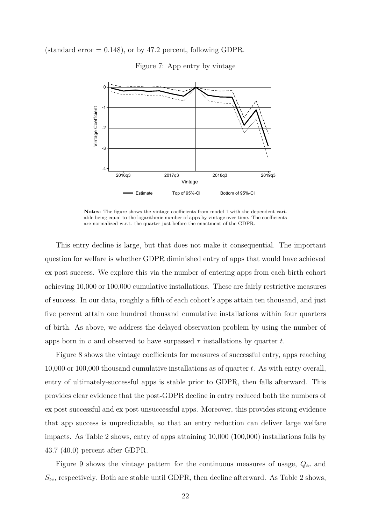<span id="page-23-0"></span>(standard error  $= 0.148$ ), or by 47.2 percent, following GDPR.



Figure 7: App entry by vintage

**Notes:** The figure shows the vintage coefficients from model [1](#page-22-0) with the dependent variable being equal to the logarithmic number of apps by vintage over time. The coefficients are normalized w.r.t. the quarter just before the enactment of the GDPR.

This entry decline is large, but that does not make it consequential. The important question for welfare is whether GDPR diminished entry of apps that would have achieved ex post success. We explore this via the number of entering apps from each birth cohort achieving 10,000 or 100,000 cumulative installations. These are fairly restrictive measures of success. In our data, roughly a fifth of each cohort's apps attain ten thousand, and just five percent attain one hundred thousand cumulative installations within four quarters of birth. As above, we address the delayed observation problem by using the number of apps born in *v* and observed to have surpassed  $\tau$  installations by quarter *t*.

Figure [8](#page-24-0) shows the vintage coefficients for measures of successful entry, apps reaching 10,000 or 100,000 thousand cumulative installations as of quarter *t*. As with entry overall, entry of ultimately-successful apps is stable prior to GDPR, then falls afterward. This provides clear evidence that the post-GDPR decline in entry reduced both the numbers of ex post successful and ex post unsuccessful apps. Moreover, this provides strong evidence that app success is unpredictable, so that an entry reduction can deliver large welfare impacts. As Table [2](#page-25-0) shows, entry of apps attaining 10,000 (100,000) installations falls by 43.7 (40.0) percent after GDPR.

Figure [9](#page-24-1) shows the vintage pattern for the continuous measures of usage, *Qtv* and  $S_{tv}$ , respectively. Both are stable until GDPR, then decline afterward. As Table [2](#page-25-0) shows,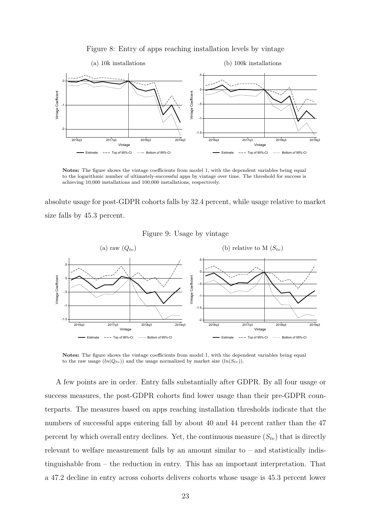<span id="page-24-0"></span>

Figure 8: Entry of apps reaching installation levels by vintage

**Notes:** The figure shows the vintage coefficients from model [1,](#page-22-0) with the dependent variables being equal to the logarithmic number of ultimately-successful apps by vintage over time. The threshold for success is achieving 10,000 installations and 100,000 installations, respectively.

absolute usage for post-GDPR cohorts falls by 32.4 percent, while usage relative to market size falls by 45.3 percent.



<span id="page-24-1"></span>

Notes: The figure shows the vintage coefficients from model [1,](#page-22-0) with the dependent variables being equal to the raw usage  $(ln(Q_{tv}))$  and the usage normalized by market size  $(ln(S_{tv}))$ .

A few points are in order. Entry falls substantially after GDPR. By all four usage or success measures, the post-GDPR cohorts find lower usage than their pre-GDPR counterparts. The measures based on apps reaching installation thresholds indicate that the numbers of successful apps entering fall by about 40 and 44 percent rather than the 47 percent by which overall entry declines. Yet, the continuous measure  $(S_{tv})$  that is directly relevant to welfare measurement falls by an amount similar to  $-$  and statistically indistinguishable from – the reduction in entry. This has an important interpretation. That a 47.2 decline in entry across cohorts delivers cohorts whose usage is 45.3 percent lower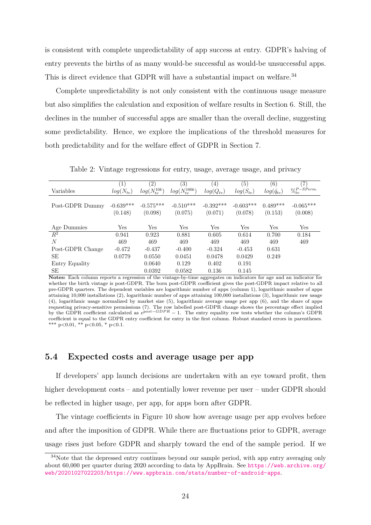is consistent with complete unpredictability of app success at entry. GDPR's halving of entry prevents the births of as many would-be successful as would-be unsuccessful apps. This is direct evidence that GDPR will have a substantial impact on welfare.<sup>[34](#page-25-1)</sup>

Complete unpredictability is not only consistent with the continuous usage measure but also simplifies the calculation and exposition of welfare results in Section [6.](#page-28-0) Still, the declines in the number of successful apps are smaller than the overall decline, suggesting some predictability. Hence, we explore the implications of the threshold measures for both predictability and for the welfare effect of GDPR in Section [7.](#page-31-0)

<span id="page-25-0"></span>

|                  | $\mathbf{1}$  | $\left( 2\right)$   | (3)                  | $\left( 4\right)$ | (5)           | (6)                 | $\left( 7\right)$     |
|------------------|---------------|---------------------|----------------------|-------------------|---------------|---------------------|-----------------------|
| Variables        | $log(N_{tv})$ | $log(N_{tv}^{10k})$ | $log(N_{tv}^{100k})$ | $log(Q_{tv})$     | $log(S_{tv})$ | $log(\bar{q}_{tv})$ | $\% ^{P-SPerm.}_{tv}$ |
|                  |               |                     |                      |                   |               |                     |                       |
| Post-GDPR Dummy  | $-0.639***$   | $-0.575***$         | $-0.510***$          | $-0.392***$       | $-0.603***$   | $0.489***$          | $-0.065***$           |
|                  | (0.148)       | (0.098)             | (0.075)              | (0.071)           | (0.078)       | (0.153)             | (0.008)               |
|                  |               |                     |                      |                   |               |                     |                       |
| Age Dummies      | Yes           | Yes                 | <b>Yes</b>           | Yes               | Yes           | Yes                 | Yes                   |
| $R^2$            | 0.941         | 0.923               | 0.881                | 0.605             | 0.614         | 0.700               | 0.184                 |
| N                | 469           | 469                 | 469                  | 469               | 469           | 469                 | 469                   |
| Post-GDPR Change | $-0.472$      | $-0.437$            | $-0.400$             | $-0.324$          | $-0.453$      | 0.631               |                       |
| SE               | 0.0779        | 0.0550              | 0.0451               | 0.0478            | 0.0429        | 0.249               |                       |
| Entry Equality   |               | 0.0640              | 0.129                | 0.402             | 0.191         |                     |                       |
| SE               |               | 0.0392              | 0.0582               | 0.136             | 0.145         |                     |                       |

Table 2: Vintage regressions for entry, usage, average usage, and privacy

**Notes:** Each column reports a regression of the vintage-by-time aggregates on indicators for age and an indicator for whether the birth vintage is post-GDPR. The born post-GDPR coefficient gives the post-GDPR impact relative to all pre-GDPR quarters. The dependent variables are logarithmic number of apps (column 1), logarithmic number of apps attaining 10,000 installations (2), logarithmic number of apps attaining 100,000 installations (3), logarithmic raw usage (4), logarithmic usage normalized by market size (5), logarithmic average usage per app (6), and the share of apps requesting privacy-sensitive permissions (7). The row labelled post-GDPR change shows the percentage effect implied by the GDPR coefficient calculated as  $e^{post-GDPR} - 1$ . The entry equality row tests whether the column's GDPR coefficient is equal to the GDPR entry coefficient for entry in the first column. Robust standard errors in parentheses. \*\*\* p*<*0.01, \*\* p*<*0.05, \* p*<*0.1.

### **5.4 Expected costs and average usage per app**

If developers' app launch decisions are undertaken with an eye toward profit, then higher development costs – and potentially lower revenue per user – under GDPR should be reflected in higher usage, per app, for apps born after GDPR.

The vintage coefficients in Figure [10](#page-26-0) show how average usage per app evolves before and after the imposition of GDPR. While there are fluctuations prior to GDPR, average usage rises just before GDPR and sharply toward the end of the sample period. If we

<span id="page-25-1"></span><sup>&</sup>lt;sup>34</sup>Note that the depressed entry continues beyond our sample period, with app entry averaging only about 60,000 per quarter during 2020 according to data by AppBrain. See [https://web.archive.org/](https://web.archive.org/web/20201027022203/https://www.appbrain.com/stats/number-of-android-apps) [web/20201027022203/https://www.appbrain.com/stats/number-of-android-apps](https://web.archive.org/web/20201027022203/https://www.appbrain.com/stats/number-of-android-apps).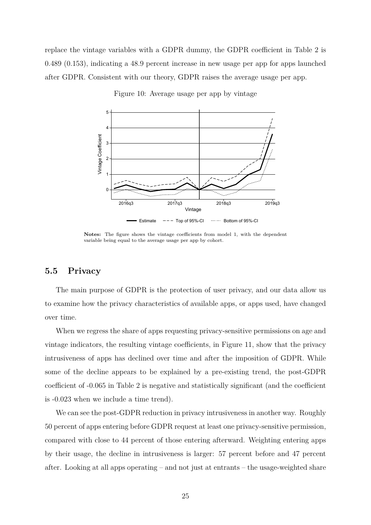<span id="page-26-0"></span>replace the vintage variables with a GDPR dummy, the GDPR coefficient in Table [2](#page-25-0) is 0.489 (0.153), indicating a 48.9 percent increase in new usage per app for apps launched after GDPR. Consistent with our theory, GDPR raises the average usage per app.



Figure 10: Average usage per app by vintage

**Notes:** The figure shows the vintage coefficients from model [1,](#page-22-0) with the dependent variable being equal to the average usage per app by cohort.

# **5.5 Privacy**

The main purpose of GDPR is the protection of user privacy, and our data allow us to examine how the privacy characteristics of available apps, or apps used, have changed over time.

When we regress the share of apps requesting privacy-sensitive permissions on age and vintage indicators, the resulting vintage coefficients, in Figure [11,](#page-27-0) show that the privacy intrusiveness of apps has declined over time and after the imposition of GDPR. While some of the decline appears to be explained by a pre-existing trend, the post-GDPR coefficient of -0.065 in Table [2](#page-25-0) is negative and statistically significant (and the coefficient is -0.023 when we include a time trend).

We can see the post-GDPR reduction in privacy intrusiveness in another way. Roughly 50 percent of apps entering before GDPR request at least one privacy-sensitive permission, compared with close to 44 percent of those entering afterward. Weighting entering apps by their usage, the decline in intrusiveness is larger: 57 percent before and 47 percent after. Looking at all apps operating – and not just at entrants – the usage-weighted share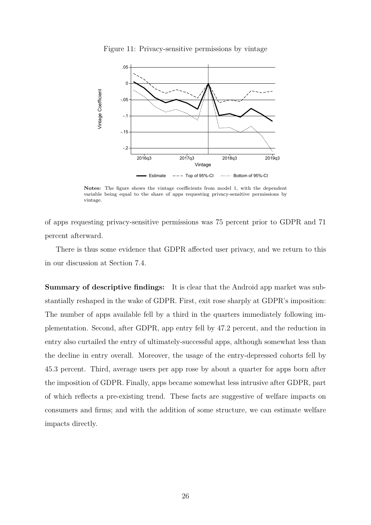<span id="page-27-0"></span>

Figure 11: Privacy-sensitive permissions by vintage

**Notes:** The figure shows the vintage coefficients from model [1,](#page-22-0) with the dependent variable being equal to the share of apps requesting privacy-sensitive permissions by vintage.

of apps requesting privacy-sensitive permissions was 75 percent prior to GDPR and 71 percent afterward.

There is thus some evidence that GDPR affected user privacy, and we return to this in our discussion at Section [7.4.](#page-36-0)

**Summary of descriptive findings:** It is clear that the Android app market was substantially reshaped in the wake of GDPR. First, exit rose sharply at GDPR's imposition: The number of apps available fell by a third in the quarters immediately following implementation. Second, after GDPR, app entry fell by 47.2 percent, and the reduction in entry also curtailed the entry of ultimately-successful apps, although somewhat less than the decline in entry overall. Moreover, the usage of the entry-depressed cohorts fell by 45.3 percent. Third, average users per app rose by about a quarter for apps born after the imposition of GDPR. Finally, apps became somewhat less intrusive after GDPR, part of which reflects a pre-existing trend. These facts are suggestive of welfare impacts on consumers and firms; and with the addition of some structure, we can estimate welfare impacts directly.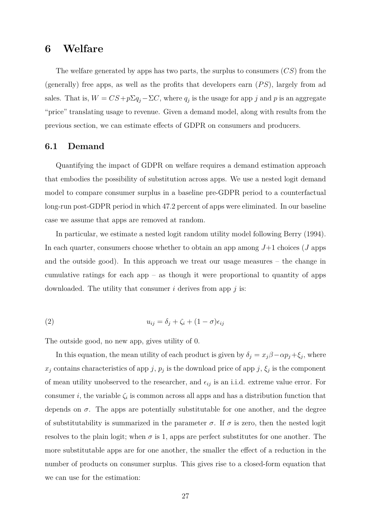# <span id="page-28-0"></span>**6 Welfare**

The welfare generated by apps has two parts, the surplus to consumers (*CS*) from the (generally) free apps, as well as the profits that developers earn (*P S*), largely from ad sales. That is,  $W = CS + p\Sigma q_j - \Sigma C$ , where  $q_j$  is the usage for app *j* and *p* is an aggregate "price" translating usage to revenue. Given a demand model, along with results from the previous section, we can estimate effects of GDPR on consumers and producers.

# **6.1 Demand**

Quantifying the impact of GDPR on welfare requires a demand estimation approach that embodies the possibility of substitution across apps. We use a nested logit demand model to compare consumer surplus in a baseline pre-GDPR period to a counterfactual long-run post-GDPR period in which 47.2 percent of apps were eliminated. In our baseline case we assume that apps are removed at random.

In particular, we estimate a nested logit random utility model following Berry (1994). In each quarter, consumers choose whether to obtain an app among *J*+1 choices (*J* apps and the outside good). In this approach we treat our usage measures – the change in cumulative ratings for each app – as though it were proportional to quantity of apps downloaded. The utility that consumer *i* derives from app *j* is:

(2) 
$$
u_{ij} = \delta_j + \zeta_i + (1 - \sigma)\epsilon_{ij}
$$

The outside good, no new app, gives utility of 0.

In this equation, the mean utility of each product is given by  $\delta_j = x_j \beta - \alpha p_j + \xi_j$ , where  $x_j$  contains characteristics of app *j*,  $p_j$  is the download price of app *j*,  $\xi_j$  is the component of mean utility unobserved to the researcher, and  $\epsilon_{ij}$  is an i.i.d. extreme value error. For consumer *i*, the variable  $\zeta_i$  is common across all apps and has a distribution function that depends on  $\sigma$ . The apps are potentially substitutable for one another, and the degree of substitutability is summarized in the parameter  $\sigma$ . If  $\sigma$  is zero, then the nested logit resolves to the plain logit; when  $\sigma$  is 1, apps are perfect substitutes for one another. The more substitutable apps are for one another, the smaller the effect of a reduction in the number of products on consumer surplus. This gives rise to a closed-form equation that we can use for the estimation: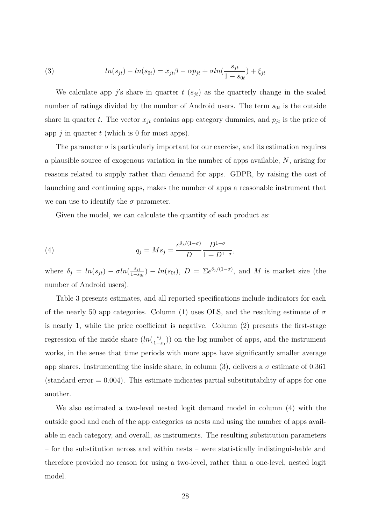<span id="page-29-0"></span>(3) 
$$
ln(s_{jt}) - ln(s_{0t}) = x_{jt}\beta - \alpha p_{jt} + \sigma ln(\frac{s_{jt}}{1 - s_{0t}}) + \xi_{jt}
$$

We calculate app  $j'$ s share in quarter  $t$  ( $s_{jt}$ ) as the quarterly change in the scaled number of ratings divided by the number of Android users. The term  $s_{0t}$  is the outside share in quarter *t*. The vector  $x_{jt}$  contains app category dummies, and  $p_{jt}$  is the price of app *j* in quarter *t* (which is 0 for most apps).

The parameter  $\sigma$  is particularly important for our exercise, and its estimation requires a plausible source of exogenous variation in the number of apps available, *N*, arising for reasons related to supply rather than demand for apps. GDPR, by raising the cost of launching and continuing apps, makes the number of apps a reasonable instrument that we can use to identify the  $\sigma$  parameter.

Given the model, we can calculate the quantity of each product as:

(4) 
$$
q_j = M s_j = \frac{e^{\delta_j/(1-\sigma)}}{D} \frac{D^{1-\sigma}}{1+D^{1-\sigma}},
$$

where  $\delta_j = ln(s_{jt}) - \sigma ln(\frac{s_{jt}}{1-s})$  $\frac{s_{jt}}{1-s_{0t}}$ ) −  $ln(s_{0t})$ ,  $D = \sum e^{\delta_j/(1-\sigma)}$ , and *M* is market size (the number of Android users).

Table [3](#page-30-0) presents estimates, and all reported specifications include indicators for each of the nearly 50 app categories. Column (1) uses OLS, and the resulting estimate of  $\sigma$ is nearly 1, while the price coefficient is negative. Column (2) presents the first-stage regression of the inside share  $(ln(\frac{s_j}{1-d}))$  $\frac{s_j}{1-s_0}$ )) on the log number of apps, and the instrument works, in the sense that time periods with more apps have significantly smaller average app shares. Instrumenting the inside share, in column (3), delivers a  $\sigma$  estimate of 0.361 (standard error  $= 0.004$ ). This estimate indicates partial substitutability of apps for one another.

We also estimated a two-level nested logit demand model in column (4) with the outside good and each of the app categories as nests and using the number of apps available in each category, and overall, as instruments. The resulting substitution parameters – for the substitution across and within nests – were statistically indistinguishable and therefore provided no reason for using a two-level, rather than a one-level, nested logit model.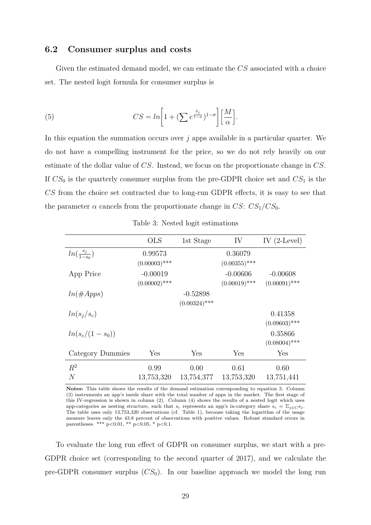### **6.2 Consumer surplus and costs**

Given the estimated demand model, we can estimate the *CS* associated with a choice set. The nested logit formula for consumer surplus is

(5) 
$$
CS = \ln \left[ 1 + (\sum e^{\frac{\delta_j}{1-\sigma}})^{1-\sigma} \right] \left[ \frac{M}{\alpha} \right].
$$

In this equation the summation occurs over *j* apps available in a particular quarter. We do not have a compelling instrument for the price, so we do not rely heavily on our estimate of the dollar value of *CS*. Instead, we focus on the proportionate change in *CS*. If *CS*<sup>0</sup> is the quarterly consumer surplus from the pre-GDPR choice set and *CS*<sup>1</sup> is the *CS* from the choice set contracted due to long-run GDPR effects, it is easy to see that the parameter  $\alpha$  cancels from the proportionate change in *CS*:  $CS_1/CS_0$ .

<span id="page-30-0"></span>

|                         | <b>OLS</b>      | 1st Stage       | IV              | IV $(2$ -Level) |
|-------------------------|-----------------|-----------------|-----------------|-----------------|
| $ln(\frac{s_j}{1-s_0})$ | 0.99573         |                 | 0.36079         |                 |
|                         | $(0.00003)$ *** |                 | $(0.00355)$ *** |                 |
| App Price               | $-0.00019$      |                 | $-0.00606$      | $-0.00608$      |
|                         | $(0.00002)$ *** |                 | $(0.00019)$ *** | $(0.00091)$ *** |
| $ln(\#Apps)$            |                 | $-0.52898$      |                 |                 |
|                         |                 | $(0.00324)$ *** |                 |                 |
| $ln(s_i/s_c)$           |                 |                 |                 | 0.41358         |
|                         |                 |                 |                 | $(0.09603)$ *** |
| $ln(s_c/(1-s_0))$       |                 |                 |                 | 0.35866         |
|                         |                 |                 |                 | $(0.08004)$ *** |
| Category Dummies        | Yes             | Yes             | Yes             | Yes             |
| $R^2$                   | 0.99            | 0.00            | 0.61            | 0.60            |
| $\overline{N}$          | 13,753,320      | 13,754,377      | 13,753,320      | 13,751,441      |

Table 3: Nested logit estimations

**Notes:** This table shows the results of the demand estimation corresponding to equation [3.](#page-29-0) Column (3) instruments an app's inside share with the total number of apps in the market. The first stage of this IV-regression is shown in column (2). Column (4) shows the results of a nested logit which uses app-categories as nesting structure, such that  $s_c$  represents an app's in-category share  $s_c = \sum_{j \in C} s_j$ . The table uses only 13,753,320 observations (cf. Table [1\)](#page-15-0), because taking the logarithm of the usage measure leaves only the 43.8 percent of observations with positive values. Robust standard errors in parentheses. \*\*\* p*<*0.01, \*\* p*<*0.05, \* p*<*0.1.

To evaluate the long run effect of GDPR on consumer surplus, we start with a pre-GDPR choice set (corresponding to the second quarter of 2017), and we calculate the pre-GDPR consumer surplus  $(CS_0)$ . In our baseline approach we model the long run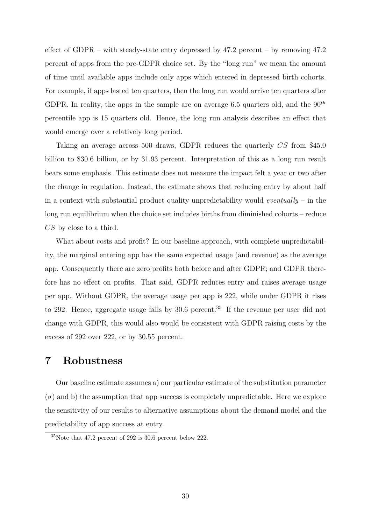effect of GDPR – with steady-state entry depressed by 47.2 percent – by removing 47.2 percent of apps from the pre-GDPR choice set. By the "long run" we mean the amount of time until available apps include only apps which entered in depressed birth cohorts. For example, if apps lasted ten quarters, then the long run would arrive ten quarters after GDPR. In reality, the apps in the sample are on average 6.5 quarters old, and the 90*th* percentile app is 15 quarters old. Hence, the long run analysis describes an effect that would emerge over a relatively long period.

Taking an average across 500 draws, GDPR reduces the quarterly *CS* from \$45.0 billion to \$30.6 billion, or by 31.93 percent. Interpretation of this as a long run result bears some emphasis. This estimate does not measure the impact felt a year or two after the change in regulation. Instead, the estimate shows that reducing entry by about half in a context with substantial product quality unpredictability would *eventually* – in the long run equilibrium when the choice set includes births from diminished cohorts – reduce *CS* by close to a third.

What about costs and profit? In our baseline approach, with complete unpredictability, the marginal entering app has the same expected usage (and revenue) as the average app. Consequently there are zero profits both before and after GDPR; and GDPR therefore has no effect on profits. That said, GDPR reduces entry and raises average usage per app. Without GDPR, the average usage per app is 222, while under GDPR it rises to 292. Hence, aggregate usage falls by 30.6 percent.<sup>[35](#page-31-1)</sup> If the revenue per user did not change with GDPR, this would also would be consistent with GDPR raising costs by the excess of 292 over 222, or by 30.55 percent.

# <span id="page-31-0"></span>**7 Robustness**

Our baseline estimate assumes a) our particular estimate of the substitution parameter  $(\sigma)$  and b) the assumption that app success is completely unpredictable. Here we explore the sensitivity of our results to alternative assumptions about the demand model and the predictability of app success at entry.

<span id="page-31-1"></span><sup>35</sup>Note that 47.2 percent of 292 is 30.6 percent below 222.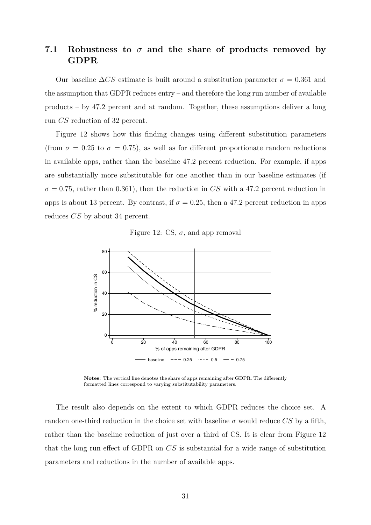# **7.1 Robustness to** *σ* **and the share of products removed by GDPR**

Our baseline  $\Delta CS$  estimate is built around a substitution parameter  $\sigma = 0.361$  and the assumption that GDPR reduces entry – and therefore the long run number of available products – by 47.2 percent and at random. Together, these assumptions deliver a long run *CS* reduction of 32 percent.

Figure [12](#page-32-0) shows how this finding changes using different substitution parameters (from  $\sigma = 0.25$  to  $\sigma = 0.75$ ), as well as for different proportionate random reductions in available apps, rather than the baseline 47.2 percent reduction. For example, if apps are substantially more substitutable for one another than in our baseline estimates (if  $\sigma = 0.75$ , rather than 0.361), then the reduction in *CS* with a 47.2 percent reduction in apps is about 13 percent. By contrast, if  $\sigma = 0.25$ , then a 47.2 percent reduction in apps reduces *CS* by about 34 percent.

Figure 12: CS,  $\sigma$ , and app removal

<span id="page-32-0"></span>

**Notes:** The vertical line denotes the share of apps remaining after GDPR. The differently formatted lines correspond to varying substitutability parameters.

The result also depends on the extent to which GDPR reduces the choice set. A random one-third reduction in the choice set with baseline  $\sigma$  would reduce *CS* by a fifth, rather than the baseline reduction of just over a third of CS. It is clear from Figure [12](#page-32-0) that the long run effect of GDPR on *CS* is substantial for a wide range of substitution parameters and reductions in the number of available apps.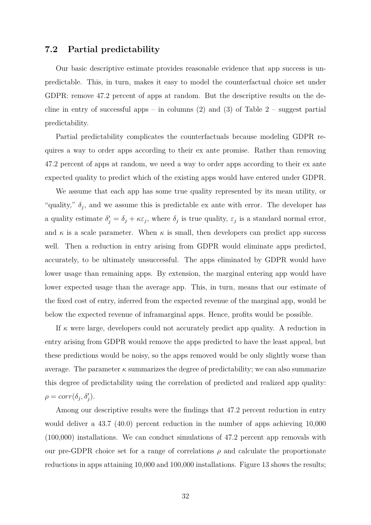### <span id="page-33-0"></span>**7.2 Partial predictability**

Our basic descriptive estimate provides reasonable evidence that app success is unpredictable. This, in turn, makes it easy to model the counterfactual choice set under GDPR: remove 47.2 percent of apps at random. But the descriptive results on the decline in entry of successful apps – in columns  $(2)$  and  $(3)$  of Table [2](#page-25-0) – suggest partial predictability.

Partial predictability complicates the counterfactuals because modeling GDPR requires a way to order apps according to their ex ante promise. Rather than removing 47.2 percent of apps at random, we need a way to order apps according to their ex ante expected quality to predict which of the existing apps would have entered under GDPR.

We assume that each app has some true quality represented by its mean utility, or "quality,"  $\delta_j$ , and we assume this is predictable ex ante with error. The developer has a quality estimate  $\delta'_j = \delta_j + \kappa \varepsilon_j$ , where  $\delta_j$  is true quality,  $\varepsilon_j$  is a standard normal error, and  $\kappa$  is a scale parameter. When  $\kappa$  is small, then developers can predict app success well. Then a reduction in entry arising from GDPR would eliminate apps predicted, accurately, to be ultimately unsuccessful. The apps eliminated by GDPR would have lower usage than remaining apps. By extension, the marginal entering app would have lower expected usage than the average app. This, in turn, means that our estimate of the fixed cost of entry, inferred from the expected revenue of the marginal app, would be below the expected revenue of inframarginal apps. Hence, profits would be possible.

If  $\kappa$  were large, developers could not accurately predict app quality. A reduction in entry arising from GDPR would remove the apps predicted to have the least appeal, but these predictions would be noisy, so the apps removed would be only slightly worse than average. The parameter  $\kappa$  summarizes the degree of predictability; we can also summarize this degree of predictability using the correlation of predicted and realized app quality:  $\rho = corr(\delta_j, \delta'_j).$ 

Among our descriptive results were the findings that 47.2 percent reduction in entry would deliver a 43.7 (40.0) percent reduction in the number of apps achieving 10,000 (100,000) installations. We can conduct simulations of 47.2 percent app removals with our pre-GDPR choice set for a range of correlations  $\rho$  and calculate the proportionate reductions in apps attaining 10,000 and 100,000 installations. Figure [13](#page-34-0) shows the results;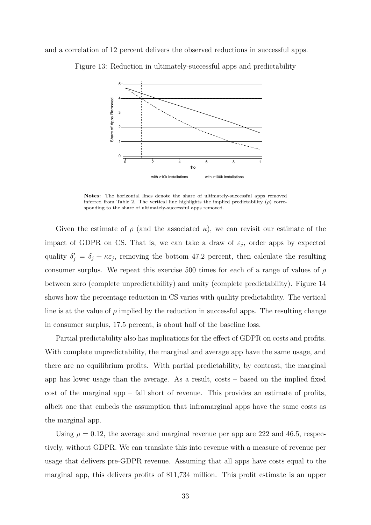<span id="page-34-0"></span>and a correlation of 12 percent delivers the observed reductions in successful apps.



Figure 13: Reduction in ultimately-successful apps and predictability

**Notes:** The horizontal lines denote the share of ultimately-successful apps removed inferred from Table [2.](#page-25-0) The vertical line highlights the implied predictability  $(\rho)$  corresponding to the share of ultimately-successful apps removed.

Given the estimate of  $\rho$  (and the associated  $\kappa$ ), we can revisit our estimate of the impact of GDPR on CS. That is, we can take a draw of  $\varepsilon_j$ , order apps by expected quality  $\delta'_{j} = \delta_{j} + \kappa \varepsilon_{j}$ , removing the bottom 47.2 percent, then calculate the resulting consumer surplus. We repeat this exercise 500 times for each of a range of values of *ρ* between zero (complete unpredictability) and unity (complete predictability). Figure [14](#page-35-1) shows how the percentage reduction in CS varies with quality predictability. The vertical line is at the value of  $\rho$  implied by the reduction in successful apps. The resulting change in consumer surplus, 17.5 percent, is about half of the baseline loss.

Partial predictability also has implications for the effect of GDPR on costs and profits. With complete unpredictability, the marginal and average app have the same usage, and there are no equilibrium profits. With partial predictability, by contrast, the marginal app has lower usage than the average. As a result, costs – based on the implied fixed cost of the marginal app – fall short of revenue. This provides an estimate of profits, albeit one that embeds the assumption that inframarginal apps have the same costs as the marginal app.

Using  $\rho = 0.12$ , the average and marginal revenue per app are 222 and 46.5, respectively, without GDPR. We can translate this into revenue with a measure of revenue per usage that delivers pre-GDPR revenue. Assuming that all apps have costs equal to the marginal app, this delivers profits of \$11,734 million. This profit estimate is an upper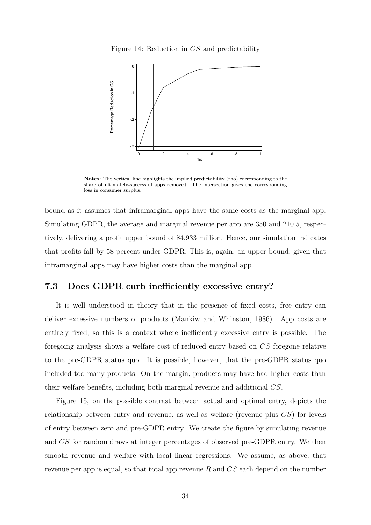Figure 14: Reduction in *CS* and predictability

<span id="page-35-1"></span>

**Notes:** The vertical line highlights the implied predictability (rho) corresponding to the share of ultimately-successful apps removed. The intersection gives the corresponding loss in consumer surplus.

bound as it assumes that inframarginal apps have the same costs as the marginal app. Simulating GDPR, the average and marginal revenue per app are 350 and 210.5, respectively, delivering a profit upper bound of \$4,933 million. Hence, our simulation indicates that profits fall by 58 percent under GDPR. This is, again, an upper bound, given that inframarginal apps may have higher costs than the marginal app.

## <span id="page-35-0"></span>**7.3 Does GDPR curb inefficiently excessive entry?**

It is well understood in theory that in the presence of fixed costs, free entry can deliver excessive numbers of products [\(Mankiw and Whinston, 1986\)](#page-40-11). App costs are entirely fixed, so this is a context where inefficiently excessive entry is possible. The foregoing analysis shows a welfare cost of reduced entry based on *CS* foregone relative to the pre-GDPR status quo. It is possible, however, that the pre-GDPR status quo included too many products. On the margin, products may have had higher costs than their welfare benefits, including both marginal revenue and additional *CS*.

Figure [15,](#page-36-1) on the possible contrast between actual and optimal entry, depicts the relationship between entry and revenue, as well as welfare (revenue plus *CS*) for levels of entry between zero and pre-GDPR entry. We create the figure by simulating revenue and *CS* for random draws at integer percentages of observed pre-GDPR entry. We then smooth revenue and welfare with local linear regressions. We assume, as above, that revenue per app is equal, so that total app revenue *R* and *CS* each depend on the number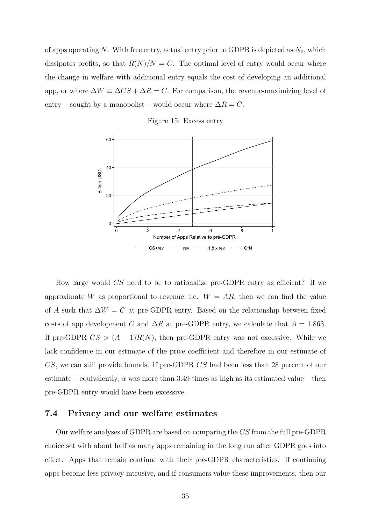of apps operating *N*. With free entry, actual entry prior to GDPR is depicted as  $N_0$ , which dissipates profits, so that  $R(N)/N = C$ . The optimal level of entry would occur where the change in welfare with additional entry equals the cost of developing an additional app, or where  $\Delta W \equiv \Delta CS + \Delta R = C$ . For comparison, the revenue-maximizing level of entry – sought by a monopolist – would occur where  $\Delta R = C$ .

Figure 15: Excess entry

<span id="page-36-1"></span>

How large would *CS* need to be to rationalize pre-GDPR entry as efficient? If we approximate *W* as proportional to revenue, i.e.  $W = AR$ , then we can find the value of *A* such that  $\Delta W = C$  at pre-GDPR entry. Based on the relationship between fixed costs of app development *C* and  $\Delta R$  at pre-GDPR entry, we calculate that  $A = 1.863$ . If pre-GDPR  $CS > (A-1)R(N)$ , then pre-GDPR entry was not excessive. While we lack confidence in our estimate of the price coefficient and therefore in our estimate of *CS*, we can still provide bounds. If pre-GDPR *CS* had been less than 28 percent of our estimate – equivalently,  $\alpha$  was more than 3.49 times as high as its estimated value – then pre-GDPR entry would have been excessive.

## <span id="page-36-0"></span>**7.4 Privacy and our welfare estimates**

Our welfare analyses of GDPR are based on comparing the *CS* from the full pre-GDPR choice set with about half as many apps remaining in the long run after GDPR goes into effect. Apps that remain continue with their pre-GDPR characteristics. If continuing apps become less privacy intrusive, and if consumers value these improvements, then our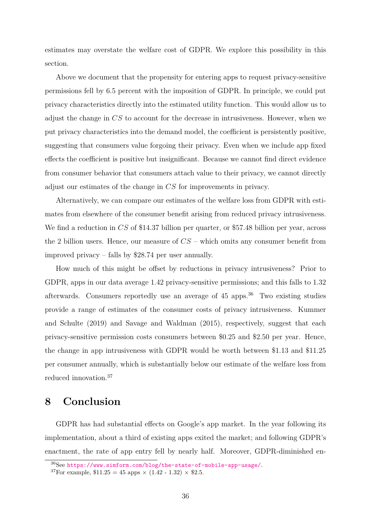estimates may overstate the welfare cost of GDPR. We explore this possibility in this section.

Above we document that the propensity for entering apps to request privacy-sensitive permissions fell by 6.5 percent with the imposition of GDPR. In principle, we could put privacy characteristics directly into the estimated utility function. This would allow us to adjust the change in *CS* to account for the decrease in intrusiveness. However, when we put privacy characteristics into the demand model, the coefficient is persistently positive, suggesting that consumers value forgoing their privacy. Even when we include app fixed effects the coefficient is positive but insignificant. Because we cannot find direct evidence from consumer behavior that consumers attach value to their privacy, we cannot directly adjust our estimates of the change in *CS* for improvements in privacy.

Alternatively, we can compare our estimates of the welfare loss from GDPR with estimates from elsewhere of the consumer benefit arising from reduced privacy intrusiveness. We find a reduction in *CS* of \$14.37 billion per quarter, or \$57.48 billion per year, across the 2 billion users. Hence, our measure of *CS* – which omits any consumer benefit from improved privacy – falls by \$28.74 per user annually.

How much of this might be offset by reductions in privacy intrusiveness? Prior to GDPR, apps in our data average 1.42 privacy-sensitive permissions; and this falls to 1.32 afterwards. Consumers reportedly use an average of 45 apps.[36](#page-37-0) Two existing studies provide a range of estimates of the consumer costs of privacy intrusiveness. [Kummer](#page-40-8) [and Schulte](#page-40-8) [\(2019\)](#page-40-8) and [Savage and Waldman](#page-41-12) [\(2015\)](#page-41-12), respectively, suggest that each privacy-sensitive permission costs consumers between \$0.25 and \$2.50 per year. Hence, the change in app intrusiveness with GDPR would be worth between \$1.13 and \$11.25 per consumer annually, which is substantially below our estimate of the welfare loss from reduced innovation.[37](#page-37-1)

# **8 Conclusion**

GDPR has had substantial effects on Google's app market. In the year following its implementation, about a third of existing apps exited the market; and following GDPR's enactment, the rate of app entry fell by nearly half. Moreover, GDPR-diminished en-

<span id="page-37-0"></span><sup>36</sup>See [https://www.simform.com/blog/the-state-of-mobile-app-usage/]( https://www.simform.com/blog/the-state-of-mobile-app-usage/).

<span id="page-37-1"></span><sup>&</sup>lt;sup>37</sup>For example,  $$11.25 = 45$  apps  $\times$  (1.42 - 1.32)  $\times$  \$2.5.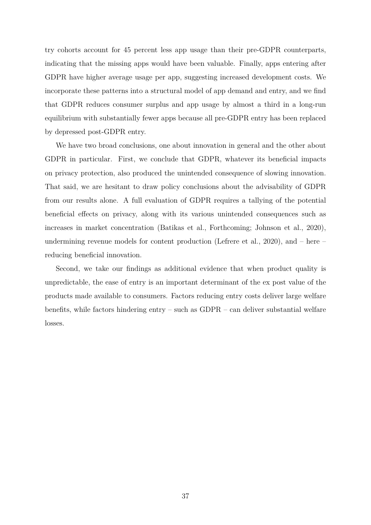try cohorts account for 45 percent less app usage than their pre-GDPR counterparts, indicating that the missing apps would have been valuable. Finally, apps entering after GDPR have higher average usage per app, suggesting increased development costs. We incorporate these patterns into a structural model of app demand and entry, and we find that GDPR reduces consumer surplus and app usage by almost a third in a long-run equilibrium with substantially fewer apps because all pre-GDPR entry has been replaced by depressed post-GDPR entry.

We have two broad conclusions, one about innovation in general and the other about GDPR in particular. First, we conclude that GDPR, whatever its beneficial impacts on privacy protection, also produced the unintended consequence of slowing innovation. That said, we are hesitant to draw policy conclusions about the advisability of GDPR from our results alone. A full evaluation of GDPR requires a tallying of the potential beneficial effects on privacy, along with its various unintended consequences such as increases in market concentration [\(Batikas et al., Forthcoming;](#page-39-6) [Johnson et al., 2020\)](#page-40-4), undermining revenue models for content production [\(Lefrere et al., 2020\)](#page-40-6), and  $-$  here  $$ reducing beneficial innovation.

Second, we take our findings as additional evidence that when product quality is unpredictable, the ease of entry is an important determinant of the ex post value of the products made available to consumers. Factors reducing entry costs deliver large welfare benefits, while factors hindering entry – such as GDPR – can deliver substantial welfare losses.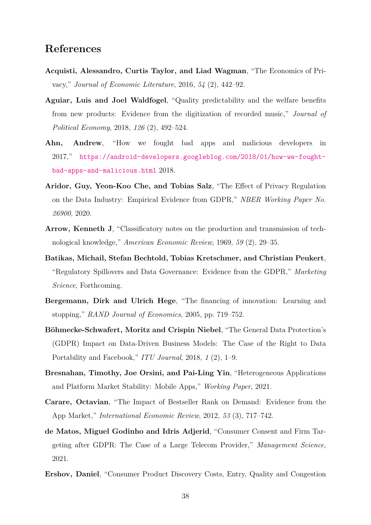# **References**

- <span id="page-39-7"></span>**Acquisti, Alessandro, Curtis Taylor, and Liad Wagman**, "The Economics of Privacy," *Journal of Economic Literature*, 2016, *54* (2), 442–92.
- <span id="page-39-2"></span>**Aguiar, Luis and Joel Waldfogel**, "Quality predictability and the welfare benefits from new products: Evidence from the digitization of recorded music," *Journal of Political Economy*, 2018, *126* (2), 492–524.
- <span id="page-39-11"></span>**Ahn, Andrew**, "How we fought bad apps and malicious developers in 2017," [https://android-developers.googleblog.com/2018/01/how-we-fought](https://android-developers.googleblog.com/2018/01/how-we-fought-bad-apps-and-malicious.html)[bad-apps-and-malicious.html](https://android-developers.googleblog.com/2018/01/how-we-fought-bad-apps-and-malicious.html) 2018.
- <span id="page-39-4"></span>**Aridor, Guy, Yeon-Koo Che, and Tobias Salz**, "The Effect of Privacy Regulation on the Data Industry: Empirical Evidence from GDPR," *NBER Working Paper No. 26900*, 2020.
- <span id="page-39-0"></span>**Arrow, Kenneth J**, "Classificatory notes on the production and transmission of technological knowledge," *American Economic Review*, 1969, *59* (2), 29–35.
- <span id="page-39-6"></span>**Batikas, Michail, Stefan Bechtold, Tobias Kretschmer, and Christian Peukert**, "Regulatory Spillovers and Data Governance: Evidence from the GDPR," *Marketing Science*, Forthcoming.
- <span id="page-39-1"></span>**Bergemann, Dirk and Ulrich Hege**, "The financing of innovation: Learning and stopping," *RAND Journal of Economics*, 2005, pp. 719–752.
- <span id="page-39-3"></span>**Böhmecke-Schwafert, Moritz and Crispin Niebel**, "The General Data Protection's (GDPR) Impact on Data-Driven Business Models: The Case of the Right to Data Portability and Facebook," *ITU Journal*, 2018, *1* (2), 1–9.
- <span id="page-39-9"></span>**Bresnahan, Timothy, Joe Orsini, and Pai-Ling Yin**, "Heterogeneous Applications and Platform Market Stability: Mobile Apps," *Working Paper*, 2021.
- <span id="page-39-10"></span>**Carare, Octavian**, "The Impact of Bestseller Rank on Demand: Evidence from the App Market," *International Economic Review*, 2012, *53* (3), 717–742.
- <span id="page-39-5"></span>**de Matos, Miguel Godinho and Idris Adjerid**, "Consumer Consent and Firm Targeting after GDPR: The Case of a Large Telecom Provider," *Management Science*, 2021.
- <span id="page-39-8"></span>**Ershov, Daniel**, "Consumer Product Discovery Costs, Entry, Quality and Congestion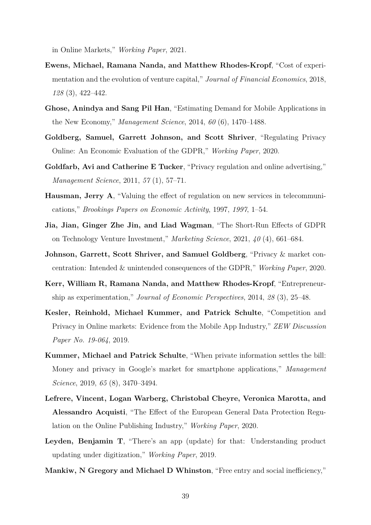in Online Markets," *Working Paper*, 2021.

- <span id="page-40-3"></span>**Ewens, Michael, Ramana Nanda, and Matthew Rhodes-Kropf**, "Cost of experimentation and the evolution of venture capital," *Journal of Financial Economics*, 2018, *128* (3), 422–442.
- <span id="page-40-10"></span>**Ghose, Anindya and Sang Pil Han**, "Estimating Demand for Mobile Applications in the New Economy," *Management Science*, 2014, *60* (6), 1470–1488.
- <span id="page-40-1"></span>**Goldberg, Samuel, Garrett Johnson, and Scott Shriver**, "Regulating Privacy Online: An Economic Evaluation of the GDPR," *Working Paper*, 2020.
- <span id="page-40-7"></span>**Goldfarb, Avi and Catherine E Tucker**, "Privacy regulation and online advertising," *Management Science*, 2011, *57* (1), 57–71.
- <span id="page-40-2"></span>**Hausman, Jerry A**, "Valuing the effect of regulation on new services in telecommunications," *Brookings Papers on Economic Activity*, 1997, *1997*, 1–54.
- <span id="page-40-5"></span>**Jia, Jian, Ginger Zhe Jin, and Liad Wagman**, "The Short-Run Effects of GDPR on Technology Venture Investment," *Marketing Science*, 2021, *40* (4), 661–684.
- <span id="page-40-4"></span>**Johnson, Garrett, Scott Shriver, and Samuel Goldberg**, "Privacy & market concentration: Intended & unintended consequences of the GDPR," *Working Paper*, 2020.
- <span id="page-40-0"></span>**Kerr, William R, Ramana Nanda, and Matthew Rhodes-Kropf**, "Entrepreneurship as experimentation," *Journal of Economic Perspectives*, 2014, *28* (3), 25–48.
- <span id="page-40-12"></span>**Kesler, Reinhold, Michael Kummer, and Patrick Schulte**, "Competition and Privacy in Online markets: Evidence from the Mobile App Industry," *ZEW Discussion Paper No. 19-064*, 2019.
- <span id="page-40-8"></span>**Kummer, Michael and Patrick Schulte**, "When private information settles the bill: Money and privacy in Google's market for smartphone applications," *Management Science*, 2019, *65* (8), 3470–3494.
- <span id="page-40-6"></span>**Lefrere, Vincent, Logan Warberg, Christobal Cheyre, Veronica Marotta, and Alessandro Acquisti**, "The Effect of the European General Data Protection Regulation on the Online Publishing Industry," *Working Paper*, 2020.
- <span id="page-40-9"></span>**Leyden, Benjamin T**, "There's an app (update) for that: Understanding product updating under digitization," *Working Paper*, 2019.
- <span id="page-40-11"></span>**Mankiw, N Gregory and Michael D Whinston**, "Free entry and social inefficiency,"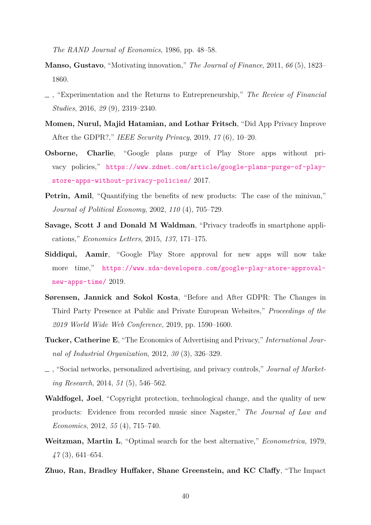*The RAND Journal of Economics*, 1986, pp. 48–58.

- <span id="page-41-0"></span>**Manso, Gustavo**, "Motivating innovation," *The Journal of Finance*, 2011, *66* (5), 1823– 1860.
- <span id="page-41-1"></span>, "Experimentation and the Returns to Entrepreneurship," *The Review of Financial Studies*, 2016, *29* (9), 2319–2340.
- <span id="page-41-7"></span>**Momen, Nurul, Majid Hatamian, and Lothar Fritsch**, "Did App Privacy Improve After the GDPR?," *IEEE Security Privacy*, 2019, *17* (6), 10–20.
- <span id="page-41-9"></span>**Osborne, Charlie**, "Google plans purge of Play Store apps without privacy policies," [https://www.zdnet.com/article/google-plans-purge-of-play](https://www.zdnet.com/article/google-plans-purge-of-play-store-apps-without-privacy-policies/)[store-apps-without-privacy-policies/](https://www.zdnet.com/article/google-plans-purge-of-play-store-apps-without-privacy-policies/) 2017.
- <span id="page-41-3"></span>**Petrin, Amil**, "Quantifying the benefits of new products: The case of the minivan," *Journal of Political Economy*, 2002, *110* (4), 705–729.
- <span id="page-41-12"></span>**Savage, Scott J and Donald M Waldman**, "Privacy tradeoffs in smartphone applications," *Economics Letters*, 2015, *137*, 171–175.
- <span id="page-41-10"></span>**Siddiqui, Aamir**, "Google Play Store approval for new apps will now take more time," [https://www.xda-developers.com/google-play-store-approval](https://www.xda-developers.com/google-play-store-approval-new-apps-time/)[new-apps-time/](https://www.xda-developers.com/google-play-store-approval-new-apps-time/) 2019.
- <span id="page-41-8"></span>**Sørensen, Jannick and Sokol Kosta**, "Before and After GDPR: The Changes in Third Party Presence at Public and Private European Websites," *Proceedings of the 2019 World Wide Web Conference*, 2019, pp. 1590–1600.
- <span id="page-41-5"></span>**Tucker, Catherine E**, "The Economics of Advertising and Privacy," *International Journal of Industrial Organization*, 2012, *30* (3), 326–329.
- <span id="page-41-6"></span>, "Social networks, personalized advertising, and privacy controls," *Journal of Marketing Research*, 2014, *51* (5), 546–562.
- <span id="page-41-11"></span>**Waldfogel, Joel**, "Copyright protection, technological change, and the quality of new products: Evidence from recorded music since Napster," *The Journal of Law and Economics*, 2012, *55* (4), 715–740.
- <span id="page-41-2"></span>**Weitzman, Martin L**, "Optimal search for the best alternative," *Econometrica*, 1979, *47* (3), 641–654.
- <span id="page-41-4"></span>**Zhuo, Ran, Bradley Huffaker, Shane Greenstein, and KC Claffy**, "The Impact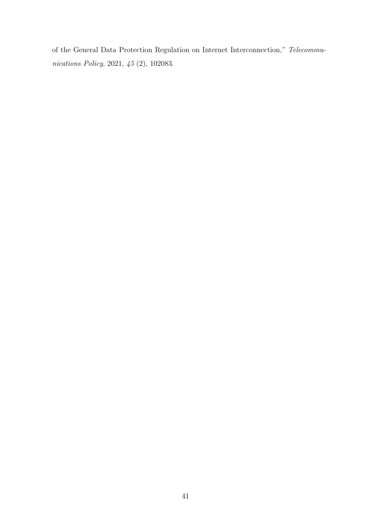of the General Data Protection Regulation on Internet Interconnection," *Telecommunications Policy*, 2021, *45* (2), 102083.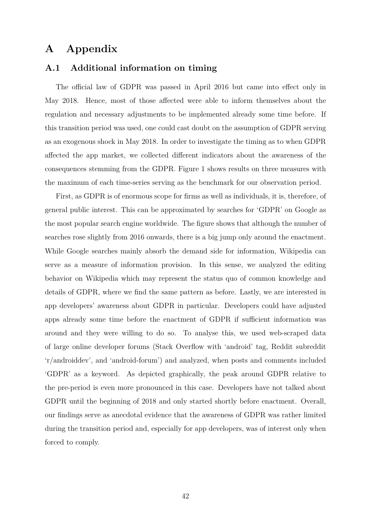# **A Appendix**

### <span id="page-43-0"></span>**A.1 Additional information on timing**

The official law of GDPR was passed in April 2016 but came into effect only in May 2018. Hence, most of those affected were able to inform themselves about the regulation and necessary adjustments to be implemented already some time before. If this transition period was used, one could cast doubt on the assumption of GDPR serving as an exogenous shock in May 2018. In order to investigate the timing as to when GDPR affected the app market, we collected different indicators about the awareness of the consequences stemming from the GDPR. Figure [1](#page-6-0) shows results on three measures with the maximum of each time-series serving as the benchmark for our observation period.

First, as GDPR is of enormous scope for firms as well as individuals, it is, therefore, of general public interest. This can be approximated by searches for 'GDPR' on Google as the most popular search engine worldwide. The figure shows that although the number of searches rose slightly from 2016 onwards, there is a big jump only around the enactment. While Google searches mainly absorb the demand side for information, Wikipedia can serve as a measure of information provision. In this sense, we analyzed the editing behavior on Wikipedia which may represent the status quo of common knowledge and details of GDPR, where we find the same pattern as before. Lastly, we are interested in app developers' awareness about GDPR in particular. Developers could have adjusted apps already some time before the enactment of GDPR if sufficient information was around and they were willing to do so. To analyse this, we used web-scraped data of large online developer forums (Stack Overflow with 'android' tag, Reddit subreddit 'r/androiddev', and 'android-forum') and analyzed, when posts and comments included 'GDPR' as a keyword. As depicted graphically, the peak around GDPR relative to the pre-period is even more pronounced in this case. Developers have not talked about GDPR until the beginning of 2018 and only started shortly before enactment. Overall, our findings serve as anecdotal evidence that the awareness of GDPR was rather limited during the transition period and, especially for app developers, was of interest only when forced to comply.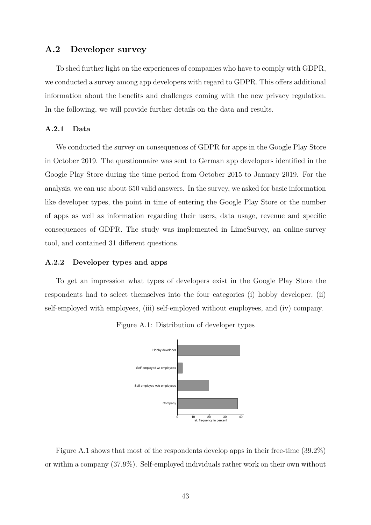# <span id="page-44-0"></span>**A.2 Developer survey**

To shed further light on the experiences of companies who have to comply with GDPR, we conducted a survey among app developers with regard to GDPR. This offers additional information about the benefits and challenges coming with the new privacy regulation. In the following, we will provide further details on the data and results.

#### **A.2.1 Data**

We conducted the survey on consequences of GDPR for apps in the Google Play Store in October 2019. The questionnaire was sent to German app developers identified in the Google Play Store during the time period from October 2015 to January 2019. For the analysis, we can use about 650 valid answers. In the survey, we asked for basic information like developer types, the point in time of entering the Google Play Store or the number of apps as well as information regarding their users, data usage, revenue and specific consequences of GDPR. The study was implemented in LimeSurvey, an online-survey tool, and contained 31 different questions.

#### **A.2.2 Developer types and apps**

<span id="page-44-1"></span>To get an impression what types of developers exist in the Google Play Store the respondents had to select themselves into the four categories (i) hobby developer, (ii) self-employed with employees, (iii) self-employed without employees, and (iv) company.



Figure A.1: Distribution of developer types

Figure [A.1](#page-44-1) shows that most of the respondents develop apps in their free-time (39.2%) or within a company (37.9%). Self-employed individuals rather work on their own without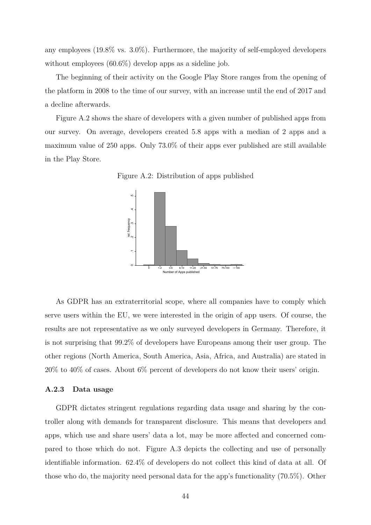any employees (19.8% vs. 3.0%). Furthermore, the majority of self-employed developers without employees (60.6%) develop apps as a sideline job.

The beginning of their activity on the Google Play Store ranges from the opening of the platform in 2008 to the time of our survey, with an increase until the end of 2017 and a decline afterwards.

<span id="page-45-0"></span>Figure [A.2](#page-45-0) shows the share of developers with a given number of published apps from our survey. On average, developers created 5.8 apps with a median of 2 apps and a maximum value of 250 apps. Only 73.0% of their apps ever published are still available in the Play Store.





As GDPR has an extraterritorial scope, where all companies have to comply which serve users within the EU, we were interested in the origin of app users. Of course, the results are not representative as we only surveyed developers in Germany. Therefore, it is not surprising that 99.2% of developers have Europeans among their user group. The other regions (North America, South America, Asia, Africa, and Australia) are stated in 20% to 40% of cases. About 6% percent of developers do not know their users' origin.

#### **A.2.3 Data usage**

GDPR dictates stringent regulations regarding data usage and sharing by the controller along with demands for transparent disclosure. This means that developers and apps, which use and share users' data a lot, may be more affected and concerned compared to those which do not. Figure [A.3](#page-46-0) depicts the collecting and use of personally identifiable information. 62.4% of developers do not collect this kind of data at all. Of those who do, the majority need personal data for the app's functionality (70.5%). Other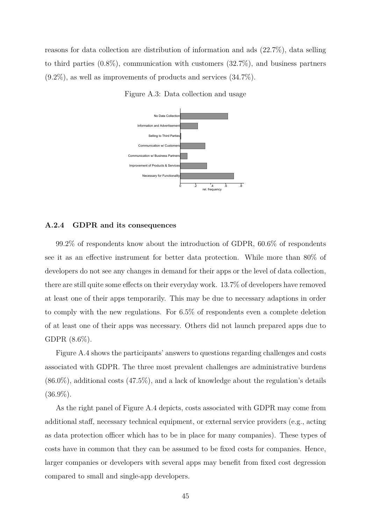<span id="page-46-0"></span>reasons for data collection are distribution of information and ads (22.7%), data selling to third parties (0.8%), communication with customers (32.7%), and business partners  $(9.2\%)$ , as well as improvements of products and services  $(34.7\%)$ .



Figure A.3: Data collection and usage

#### **A.2.4 GDPR and its consequences**

99.2% of respondents know about the introduction of GDPR, 60.6% of respondents see it as an effective instrument for better data protection. While more than 80% of developers do not see any changes in demand for their apps or the level of data collection, there are still quite some effects on their everyday work. 13.7% of developers have removed at least one of their apps temporarily. This may be due to necessary adaptions in order to comply with the new regulations. For 6.5% of respondents even a complete deletion of at least one of their apps was necessary. Others did not launch prepared apps due to GDPR (8.6%).

Figure [A.4](#page-47-0) shows the participants' answers to questions regarding challenges and costs associated with GDPR. The three most prevalent challenges are administrative burdens  $(86.0\%)$ , additional costs  $(47.5\%)$ , and a lack of knowledge about the regulation's details  $(36.9\%).$ 

As the right panel of Figure [A.4](#page-47-0) depicts, costs associated with GDPR may come from additional staff, necessary technical equipment, or external service providers (e.g., acting as data protection officer which has to be in place for many companies). These types of costs have in common that they can be assumed to be fixed costs for companies. Hence, larger companies or developers with several apps may benefit from fixed cost degression compared to small and single-app developers.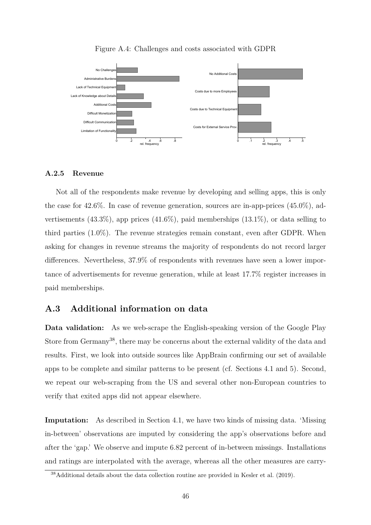<span id="page-47-0"></span>

#### Figure A.4: Challenges and costs associated with GDPR

#### **A.2.5 Revenue**

Not all of the respondents make revenue by developing and selling apps, this is only the case for 42.6%. In case of revenue generation, sources are in-app-prices (45.0%), advertisements  $(43.3\%)$ , app prices  $(41.6\%)$ , paid memberships  $(13.1\%)$ , or data selling to third parties (1.0%). The revenue strategies remain constant, even after GDPR. When asking for changes in revenue streams the majority of respondents do not record larger differences. Nevertheless, 37.9% of respondents with revenues have seen a lower importance of advertisements for revenue generation, while at least 17.7% register increases in paid memberships.

## <span id="page-47-1"></span>**A.3 Additional information on data**

**Data validation:** As we web-scrape the English-speaking version of the Google Play Store from Germany<sup>[38](#page-47-2)</sup>, there may be concerns about the external validity of the data and results. First, we look into outside sources like AppBrain confirming our set of available apps to be complete and similar patterns to be present (cf. Sections [4.1](#page-11-2) and [5\)](#page-20-0). Second, we repeat our web-scraping from the US and several other non-European countries to verify that exited apps did not appear elsewhere.

**Imputation:** As described in Section [4.1,](#page-11-2) we have two kinds of missing data. 'Missing in-between' observations are imputed by considering the app's observations before and after the 'gap.' We observe and impute 6.82 percent of in-between missings. Installations and ratings are interpolated with the average, whereas all the other measures are carry-

<span id="page-47-2"></span><sup>38</sup>Additional details about the data collection routine are provided in [Kesler et al.](#page-40-12) [\(2019\)](#page-40-12).